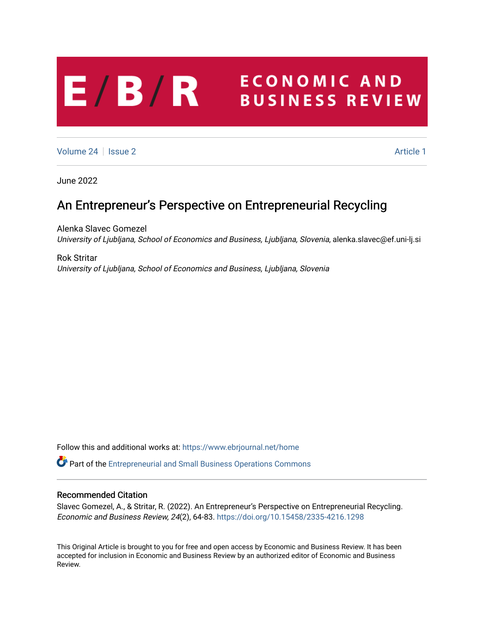# **ECONOMIC AND**  $E/B/R$ **BUSINESS REVIEW**

[Volume 24](https://www.ebrjournal.net/home/vol24) | [Issue 2](https://www.ebrjournal.net/home/vol24/iss2) Article 1

June 2022

# An Entrepreneur's Perspective on Entrepreneurial Recycling

Alenka Slavec Gomezel University of Ljubljana, School of Economics and Business, Ljubljana, Slovenia, alenka.slavec@ef.uni-lj.si

Rok Stritar University of Ljubljana, School of Economics and Business, Ljubljana, Slovenia

Follow this and additional works at: [https://www.ebrjournal.net/home](https://www.ebrjournal.net/home?utm_source=www.ebrjournal.net%2Fhome%2Fvol24%2Fiss2%2F1&utm_medium=PDF&utm_campaign=PDFCoverPages) 

Part of the [Entrepreneurial and Small Business Operations Commons](https://network.bepress.com/hgg/discipline/630?utm_source=www.ebrjournal.net%2Fhome%2Fvol24%2Fiss2%2F1&utm_medium=PDF&utm_campaign=PDFCoverPages) 

## Recommended Citation

Slavec Gomezel, A., & Stritar, R. (2022). An Entrepreneur's Perspective on Entrepreneurial Recycling. Economic and Business Review, 24(2), 64-83.<https://doi.org/10.15458/2335-4216.1298>

This Original Article is brought to you for free and open access by Economic and Business Review. It has been accepted for inclusion in Economic and Business Review by an authorized editor of Economic and Business Review.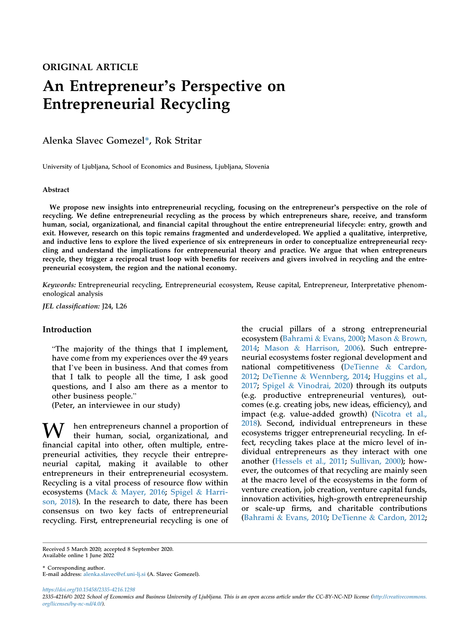# ORIGINAL ARTICLE An Entrepreneur's Perspective on Entrepreneurial Recycling

Alenka Slavec Gomezel\*, Rok Stritar

University of Ljubljana, School of Economics and Business, Ljubljana, Slovenia

#### Abstract

We propose new insights into entrepreneurial recycling, focusing on the entrepreneur's perspective on the role of recycling. We define entrepreneurial recycling as the process by which entrepreneurs share, receive, and transform human, social, organizational, and financial capital throughout the entire entrepreneurial lifecycle: entry, growth and exit. However, research on this topic remains fragmented and underdeveloped. We applied a qualitative, interpretive, and inductive lens to explore the lived experience of six entrepreneurs in order to conceptualize entrepreneurial recycling and understand the implications for entrepreneurial theory and practice. We argue that when entrepreneurs recycle, they trigger a reciprocal trust loop with benefits for receivers and givers involved in recycling and the entrepreneurial ecosystem, the region and the national economy.

Keywords: Entrepreneurial recycling, Entrepreneurial ecosystem, Reuse capital, Entrepreneur, Interpretative phenomenological analysis

JEL classification: J24, L26

## Introduction

"The majority of the things that I implement, have come from my experiences over the 49 years that I've been in business. And that comes from that I talk to people all the time, I ask good questions, and I also am there as a mentor to other business people."

(Peter, an interviewee in our study)

hen entrepreneurs channel a proportion of their human, social, organizational, and financial capital into other, often multiple, entrepreneurial activities, they recycle their entrepreneurial capital, making it available to other entrepreneurs in their entrepreneurial ecosystem. Recycling is a vital process of resource flow within ecosystems [\(Mack](#page-18-0) & [Mayer, 2016;](#page-18-0) [Spigel](#page-19-0) & [Harri](#page-19-0)[son, 2018](#page-19-0)). In the research to date, there has been consensus on two key facts of entrepreneurial recycling. First, entrepreneurial recycling is one of

the crucial pillars of a strong entrepreneurial ecosystem [\(Bahrami](#page-17-0) & [Evans, 2000](#page-17-0); [Mason](#page-18-1) & [Brown,](#page-18-1) [2014](#page-18-1); [Mason](#page-18-2) & [Harrison, 2006](#page-18-2)). Such entrepreneurial ecosystems foster regional development and national competitiveness ([DeTienne](#page-18-3) & [Cardon,](#page-18-3) [2012](#page-18-3); [DeTienne](#page-18-4) & [Wennberg, 2014;](#page-18-4) [Huggins et al.,](#page-18-5) [2017](#page-18-5); [Spigel](#page-19-1) & [Vinodrai, 2020\)](#page-19-1) through its outputs (e.g. productive entrepreneurial ventures), outcomes (e.g. creating jobs, new ideas, efficiency), and impact (e.g. value-added growth) ([Nicotra et al.,](#page-18-6) [2018](#page-18-6)). Second, individual entrepreneurs in these ecosystems trigger entrepreneurial recycling. In effect, recycling takes place at the micro level of individual entrepreneurs as they interact with one another ([Hessels et al., 2011](#page-18-7); [Sullivan, 2000](#page-19-2)); however, the outcomes of that recycling are mainly seen at the macro level of the ecosystems in the form of venture creation, job creation, venture capital funds, innovation activities, high-growth entrepreneurship or scale-up firms, and charitable contributions [\(Bahrami](#page-17-1) & [Evans, 2010;](#page-17-1) [DeTienne](#page-18-3) & [Cardon, 2012;](#page-18-3)

Received 5 March 2020; accepted 8 September 2020. Available online 1 June 2022

\* Corresponding author. E-mail address: [alenka.slavec@ef.uni-lj.si](mailto:alenka.slavec@ef.uni-lj.si) (A. Slavec Gomezel).

https://doi.org/10.15458/2335-4216.1298 2335-4216/© 2022 School of Economics and Business University of Ljubljana. This is an open access article under the CC-BY-NC-ND license [\(http://creativecommons.](http://creativecommons.org/licenses/by-nc-nd/4.0/) [org/licenses/by-nc-nd/4.0/](http://creativecommons.org/licenses/by-nc-nd/4.0/)).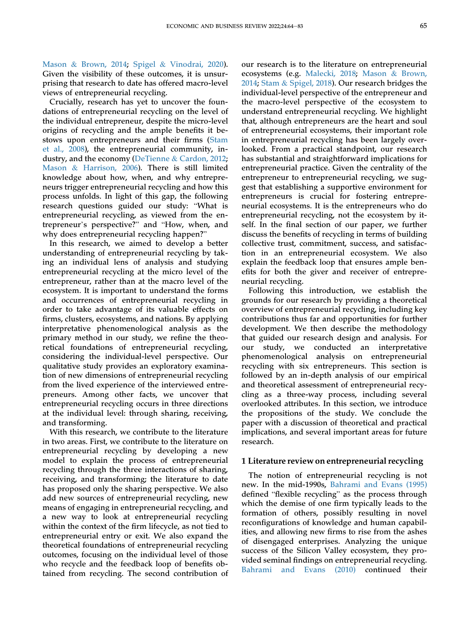[Mason](#page-18-1) & [Brown, 2014;](#page-18-1) [Spigel](#page-19-1) & [Vinodrai, 2020](#page-19-1)). Given the visibility of these outcomes, it is unsurprising that research to date has offered macro-level views of entrepreneurial recycling.

Crucially, research has yet to uncover the foundations of entrepreneurial recycling on the level of the individual entrepreneur, despite the micro-level origins of recycling and the ample benefits it bestows upon entrepreneurs and their firms ([Stam](#page-19-3) [et al., 2008](#page-19-3)), the entrepreneurial community, industry, and the economy ([DeTienne](#page-18-3) & [Cardon, 2012;](#page-18-3) [Mason](#page-18-2) & [Harrison, 2006\)](#page-18-2). There is still limited knowledge about how, when, and why entrepreneurs trigger entrepreneurial recycling and how this process unfolds. In light of this gap, the following research questions guided our study: "What is entrepreneurial recycling, as viewed from the entrepreneur's perspective?" and "How, when, and why does entrepreneurial recycling happen?"

In this research, we aimed to develop a better understanding of entrepreneurial recycling by taking an individual lens of analysis and studying entrepreneurial recycling at the micro level of the entrepreneur, rather than at the macro level of the ecosystem. It is important to understand the forms and occurrences of entrepreneurial recycling in order to take advantage of its valuable effects on firms, clusters, ecosystems, and nations. By applying interpretative phenomenological analysis as the primary method in our study, we refine the theoretical foundations of entrepreneurial recycling, considering the individual-level perspective. Our qualitative study provides an exploratory examination of new dimensions of entrepreneurial recycling from the lived experience of the interviewed entrepreneurs. Among other facts, we uncover that entrepreneurial recycling occurs in three directions at the individual level: through sharing, receiving, and transforming.

With this research, we contribute to the literature in two areas. First, we contribute to the literature on entrepreneurial recycling by developing a new model to explain the process of entrepreneurial recycling through the three interactions of sharing, receiving, and transforming; the literature to date has proposed only the sharing perspective. We also add new sources of entrepreneurial recycling, new means of engaging in entrepreneurial recycling, and a new way to look at entrepreneurial recycling within the context of the firm lifecycle, as not tied to entrepreneurial entry or exit. We also expand the theoretical foundations of entrepreneurial recycling outcomes, focusing on the individual level of those who recycle and the feedback loop of benefits obtained from recycling. The second contribution of our research is to the literature on entrepreneurial ecosystems (e.g. [Malecki, 2018](#page-18-8); [Mason](#page-18-1) & [Brown,](#page-18-1) [2014](#page-18-1); [Stam](#page-19-4) & [Spigel, 2018\)](#page-19-4). Our research bridges the individual-level perspective of the entrepreneur and the macro-level perspective of the ecosystem to understand entrepreneurial recycling. We highlight that, although entrepreneurs are the heart and soul of entrepreneurial ecosystems, their important role in entrepreneurial recycling has been largely overlooked. From a practical standpoint, our research has substantial and straightforward implications for entrepreneurial practice. Given the centrality of the entrepreneur to entrepreneurial recycling, we suggest that establishing a supportive environment for entrepreneurs is crucial for fostering entrepreneurial ecosystems. It is the entrepreneurs who do entrepreneurial recycling, not the ecosystem by itself. In the final section of our paper, we further discuss the benefits of recycling in terms of building collective trust, commitment, success, and satisfaction in an entrepreneurial ecosystem. We also explain the feedback loop that ensures ample benefits for both the giver and receiver of entrepreneurial recycling.

Following this introduction, we establish the grounds for our research by providing a theoretical overview of entrepreneurial recycling, including key contributions thus far and opportunities for further development. We then describe the methodology that guided our research design and analysis. For our study, we conducted an interpretative phenomenological analysis on entrepreneurial recycling with six entrepreneurs. This section is followed by an in-depth analysis of our empirical and theoretical assessment of entrepreneurial recycling as a three-way process, including several overlooked attributes. In this section, we introduce the propositions of the study. We conclude the paper with a discussion of theoretical and practical implications, and several important areas for future research.

## 1 Literature review on entrepreneurial recycling

The notion of entrepreneurial recycling is not new. In the mid-1990s, [Bahrami and Evans \(1995\)](#page-17-2) defined "flexible recycling" as the process through which the demise of one firm typically leads to the formation of others, possibly resulting in novel reconfigurations of knowledge and human capabilities, and allowing new firms to rise from the ashes of disengaged enterprises. Analyzing the unique success of the Silicon Valley ecosystem, they provided seminal findings on entrepreneurial recycling. [Bahrami and Evans \(2010\)](#page-17-1) continued their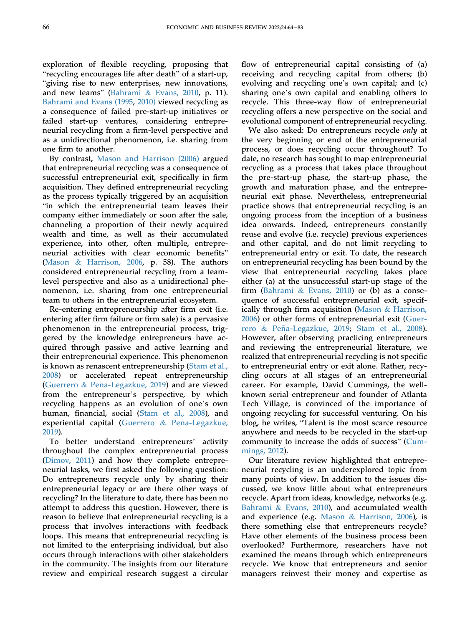exploration of flexible recycling, proposing that "recycling encourages life after death" of a start-up, "giving rise to new enterprises, new innovations, and new teams" [\(Bahrami](#page-17-1) & [Evans, 2010,](#page-17-1) p. 11). [Bahrami and Evans \(1995,](#page-17-2) [2010\)](#page-17-1) viewed recycling as a consequence of failed pre-start-up initiatives or failed start-up ventures, considering entrepreneurial recycling from a firm-level perspective and as a unidirectional phenomenon, i.e. sharing from one firm to another.

By contrast, [Mason and Harrison \(2006\)](#page-18-2) argued that entrepreneurial recycling was a consequence of successful entrepreneurial exit, specifically in firm acquisition. They defined entrepreneurial recycling as the process typically triggered by an acquisition "in which the entrepreneurial team leaves their company either immediately or soon after the sale, channeling a proportion of their newly acquired wealth and time, as well as their accumulated experience, into other, often multiple, entrepreneurial activities with clear economic benefits" [\(Mason](#page-18-2) & [Harrison, 2006,](#page-18-2) p. 58). The authors considered entrepreneurial recycling from a teamlevel perspective and also as a unidirectional phenomenon, i.e. sharing from one entrepreneurial team to others in the entrepreneurial ecosystem.

Re-entering entrepreneurship after firm exit (i.e. entering after firm failure or firm sale) is a pervasive phenomenon in the entrepreneurial process, triggered by the knowledge entrepreneurs have acquired through passive and active learning and their entrepreneurial experience. This phenomenon is known as renascent entrepreneurship ([Stam et al.,](#page-19-3) [2008\)](#page-19-3) or accelerated repeat entrepreneurship [\(Guerrero](#page-18-9) & Peña-Legazkue, 2019) and are viewed from the entrepreneur's perspective, by which recycling happens as an evolution of one's own human, financial, social ([Stam et al., 2008](#page-19-3)), and experiential capital [\(Guerrero](#page-18-9) & Peña-Legazkue, [2019\)](#page-18-9).

To better understand entrepreneurs' activity throughout the complex entrepreneurial process [\(Dimov, 2011](#page-18-10)) and how they complete entrepreneurial tasks, we first asked the following question: Do entrepreneurs recycle only by sharing their entrepreneurial legacy or are there other ways of recycling? In the literature to date, there has been no attempt to address this question. However, there is reason to believe that entrepreneurial recycling is a process that involves interactions with feedback loops. This means that entrepreneurial recycling is not limited to the enterprising individual, but also occurs through interactions with other stakeholders in the community. The insights from our literature review and empirical research suggest a circular

flow of entrepreneurial capital consisting of (a) receiving and recycling capital from others; (b) evolving and recycling one's own capital; and (c) sharing one's own capital and enabling others to recycle. This three-way flow of entrepreneurial recycling offers a new perspective on the social and evolutional component of entrepreneurial recycling.

We also asked: Do entrepreneurs recycle only at the very beginning or end of the entrepreneurial process, or does recycling occur throughout? To date, no research has sought to map entrepreneurial recycling as a process that takes place throughout the pre-start-up phase, the start-up phase, the growth and maturation phase, and the entrepreneurial exit phase. Nevertheless, entrepreneurial practice shows that entrepreneurial recycling is an ongoing process from the inception of a business idea onwards. Indeed, entrepreneurs constantly reuse and evolve (i.e. recycle) previous experiences and other capital, and do not limit recycling to entrepreneurial entry or exit. To date, the research on entrepreneurial recycling has been bound by the view that entrepreneurial recycling takes place either (a) at the unsuccessful start-up stage of the firm ([Bahrami](#page-17-1) & [Evans, 2010\)](#page-17-1) or (b) as a consequence of successful entrepreneurial exit, specifically through firm acquisition ([Mason](#page-18-2) & [Harrison,](#page-18-2) [2006](#page-18-2)) or other forms of entrepreneurial exit [\(Guer](#page-18-9)[rero](#page-18-9) & Peña-Legazkue, 2019; [Stam et al., 2008\)](#page-19-3). However, after observing practicing entrepreneurs and reviewing the entrepreneurial literature, we realized that entrepreneurial recycling is not specific to entrepreneurial entry or exit alone. Rather, recycling occurs at all stages of an entrepreneurial career. For example, David Cummings, the wellknown serial entrepreneur and founder of Atlanta Tech Village, is convinced of the importance of ongoing recycling for successful venturing. On his blog, he writes, "Talent is the most scarce resource anywhere and needs to be recycled in the start-up community to increase the odds of success" [\(Cum](#page-17-3)[mings, 2012\)](#page-17-3).

Our literature review highlighted that entrepreneurial recycling is an underexplored topic from many points of view. In addition to the issues discussed, we know little about what entrepreneurs recycle. Apart from ideas, knowledge, networks (e.g. [Bahrami](#page-17-1) & [Evans, 2010](#page-17-1)), and accumulated wealth and experience (e.g. [Mason](#page-18-2) & [Harrison, 2006](#page-18-2)), is there something else that entrepreneurs recycle? Have other elements of the business process been overlooked? Furthermore, researchers have not examined the means through which entrepreneurs recycle. We know that entrepreneurs and senior managers reinvest their money and expertise as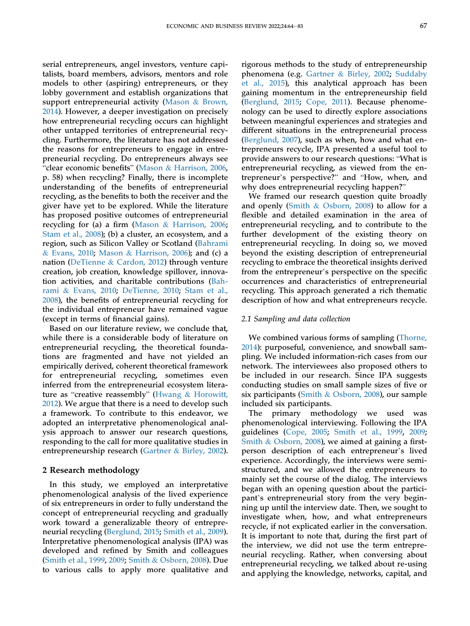serial entrepreneurs, angel investors, venture capitalists, board members, advisors, mentors and role models to other (aspiring) entrepreneurs, or they lobby government and establish organizations that support entrepreneurial activity [\(Mason](#page-18-1) & [Brown,](#page-18-1) [2014\)](#page-18-1). However, a deeper investigation on precisely how entrepreneurial recycling occurs can highlight other untapped territories of entrepreneurial recycling. Furthermore, the literature has not addressed the reasons for entrepreneurs to engage in entrepreneurial recycling. Do entrepreneurs always see "clear economic benefits" ([Mason](#page-18-2) & [Harrison, 2006,](#page-18-2) p. 58) when recycling? Finally, there is incomplete understanding of the benefits of entrepreneurial recycling, as the benefits to both the receiver and the giver have yet to be explored. While the literature has proposed positive outcomes of entrepreneurial recycling for (a) a firm ([Mason](#page-18-2) & [Harrison, 2006;](#page-18-2) [Stam et al., 2008](#page-19-3)); (b) a cluster, an ecosystem, and a region, such as Silicon Valley or Scotland ([Bahrami](#page-17-1) & [Evans, 2010;](#page-17-1) [Mason](#page-18-2) & [Harrison, 2006](#page-18-2)); and (c) a nation [\(DeTienne](#page-18-3) & [Cardon, 2012\)](#page-18-3) through venture creation, job creation, knowledge spillover, innovation activities, and charitable contributions ([Bah](#page-17-1)[rami](#page-17-1) & [Evans, 2010](#page-17-1); [DeTienne, 2010;](#page-17-4) [Stam et al.,](#page-19-3) [2008\)](#page-19-3), the benefits of entrepreneurial recycling for the individual entrepreneur have remained vague (except in terms of financial gains).

Based on our literature review, we conclude that, while there is a considerable body of literature on entrepreneurial recycling, the theoretical foundations are fragmented and have not yielded an empirically derived, coherent theoretical framework for entrepreneurial recycling, sometimes even inferred from the entrepreneurial ecosystem literature as "creative reassembly" ([Hwang](#page-18-11) & [Horowitt,](#page-18-11) [2012\)](#page-18-11). We argue that there is a need to develop such a framework. To contribute to this endeavor, we adopted an interpretative phenomenological analysis approach to answer our research questions, responding to the call for more qualitative studies in entrepreneurship research [\(Gartner](#page-18-12) & [Birley, 2002](#page-18-12)).

## 2 Research methodology

In this study, we employed an interpretative phenomenological analysis of the lived experience of six entrepreneurs in order to fully understand the concept of entrepreneurial recycling and gradually work toward a generalizable theory of entrepreneurial recycling [\(Berglund, 2015](#page-17-5); [Smith et al., 2009](#page-18-13)). Interpretative phenomenological analysis (IPA) was developed and refined by Smith and colleagues [\(Smith et al., 1999](#page-18-14), [2009](#page-18-13); [Smith](#page-19-5) & [Osborn, 2008\)](#page-19-5). Due to various calls to apply more qualitative and

rigorous methods to the study of entrepreneurship phenomena (e.g. [Gartner](#page-18-12) & [Birley, 2002](#page-18-12); [Suddaby](#page-19-6) [et al., 2015](#page-19-6)), this analytical approach has been gaining momentum in the entrepreneurship field [\(Berglund, 2015;](#page-17-5) [Cope, 2011\)](#page-17-6). Because phenomenology can be used to directly explore associations between meaningful experiences and strategies and different situations in the entrepreneurial process [\(Berglund, 2007\)](#page-17-7), such as when, how and what entrepreneurs recycle, IPA presented a useful tool to provide answers to our research questions: "What is entrepreneurial recycling, as viewed from the entrepreneur's perspective?" and "How, when, and why does entrepreneurial recycling happen?"

We framed our research question quite broadly and openly ([Smith](#page-19-5) & [Osborn, 2008](#page-19-5)) to allow for a flexible and detailed examination in the area of entrepreneurial recycling, and to contribute to the further development of the existing theory on entrepreneurial recycling. In doing so, we moved beyond the existing description of entrepreneurial recycling to embrace the theoretical insights derived from the entrepreneur's perspective on the specific occurrences and characteristics of entrepreneurial recycling. This approach generated a rich thematic description of how and what entrepreneurs recycle.

#### 2.1 Sampling and data collection

We combined various forms of sampling ([Thorne,](#page-19-7) [2014](#page-19-7)): purposeful, convenience, and snowball sampling. We included information-rich cases from our network. The interviewees also proposed others to be included in our research. Since IPA suggests conducting studies on small sample sizes of five or six participants [\(Smith](#page-19-5) & [Osborn, 2008](#page-19-5)), our sample included six participants.

The primary methodology we used was phenomenological interviewing. Following the IPA guidelines [\(Cope, 2005;](#page-17-8) [Smith et al., 1999](#page-18-14), [2009;](#page-18-13) [Smith](#page-19-5) & [Osborn, 2008\)](#page-19-5), we aimed at gaining a firstperson description of each entrepreneur's lived experience. Accordingly, the interviews were semistructured, and we allowed the entrepreneurs to mainly set the course of the dialog. The interviews began with an opening question about the participant's entrepreneurial story from the very beginning up until the interview date. Then, we sought to investigate when, how, and what entrepreneurs recycle, if not explicated earlier in the conversation. It is important to note that, during the first part of the interview, we did not use the term entrepreneurial recycling. Rather, when conversing about entrepreneurial recycling, we talked about re-using and applying the knowledge, networks, capital, and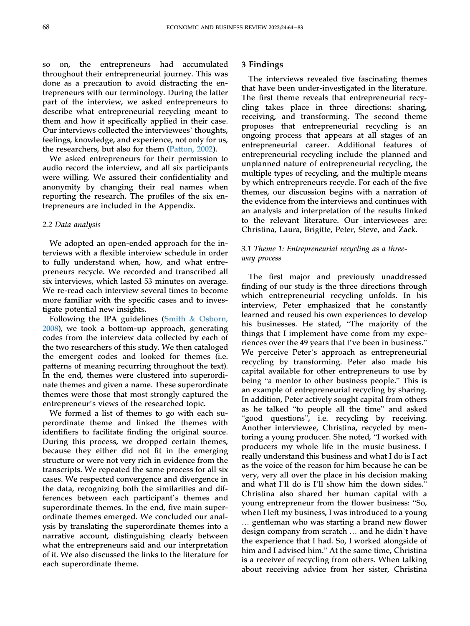so on, the entrepreneurs had accumulated throughout their entrepreneurial journey. This was done as a precaution to avoid distracting the entrepreneurs with our terminology. During the latter part of the interview, we asked entrepreneurs to describe what entrepreneurial recycling meant to them and how it specifically applied in their case. Our interviews collected the interviewees' thoughts, feelings, knowledge, and experience, not only for us, the researchers, but also for them ([Patton, 2002\)](#page-18-15).

We asked entrepreneurs for their permission to audio record the interview, and all six participants were willing. We assured their confidentiality and anonymity by changing their real names when reporting the research. The profiles of the six entrepreneurs are included in the Appendix.

#### 2.2 Data analysis

We adopted an open-ended approach for the interviews with a flexible interview schedule in order to fully understand when, how, and what entrepreneurs recycle. We recorded and transcribed all six interviews, which lasted 53 minutes on average. We re-read each interview several times to become more familiar with the specific cases and to investigate potential new insights.

Following the IPA guidelines [\(Smith](#page-19-5) & [Osborn,](#page-19-5) [2008\)](#page-19-5), we took a bottom-up approach, generating codes from the interview data collected by each of the two researchers of this study. We then cataloged the emergent codes and looked for themes (i.e. patterns of meaning recurring throughout the text). In the end, themes were clustered into superordinate themes and given a name. These superordinate themes were those that most strongly captured the entrepreneur's views of the researched topic.

We formed a list of themes to go with each superordinate theme and linked the themes with identifiers to facilitate finding the original source. During this process, we dropped certain themes, because they either did not fit in the emerging structure or were not very rich in evidence from the transcripts. We repeated the same process for all six cases. We respected convergence and divergence in the data, recognizing both the similarities and differences between each participant's themes and superordinate themes. In the end, five main superordinate themes emerged. We concluded our analysis by translating the superordinate themes into a narrative account, distinguishing clearly between what the entrepreneurs said and our interpretation of it. We also discussed the links to the literature for each superordinate theme.

#### 3 Findings

The interviews revealed five fascinating themes that have been under-investigated in the literature. The first theme reveals that entrepreneurial recycling takes place in three directions: sharing, receiving, and transforming. The second theme proposes that entrepreneurial recycling is an ongoing process that appears at all stages of an entrepreneurial career. Additional features of entrepreneurial recycling include the planned and unplanned nature of entrepreneurial recycling, the multiple types of recycling, and the multiple means by which entrepreneurs recycle. For each of the five themes, our discussion begins with a narration of the evidence from the interviews and continues with an analysis and interpretation of the results linked to the relevant literature. Our interviewees are: Christina, Laura, Brigitte, Peter, Steve, and Zack.

## 3.1 Theme 1: Entrepreneurial recycling as a threeway process

The first major and previously unaddressed finding of our study is the three directions through which entrepreneurial recycling unfolds. In his interview, Peter emphasized that he constantly learned and reused his own experiences to develop his businesses. He stated, "The majority of the things that I implement have come from my experiences over the 49 years that I've been in business." We perceive Peter's approach as entrepreneurial recycling by transforming. Peter also made his capital available for other entrepreneurs to use by being "a mentor to other business people." This is an example of entrepreneurial recycling by sharing. In addition, Peter actively sought capital from others as he talked "to people all the time" and asked "good questions", i.e. recycling by receiving. Another interviewee, Christina, recycled by mentoring a young producer. She noted, "I worked with producers my whole life in the music business. I really understand this business and what I do is I act as the voice of the reason for him because he can be very, very all over the place in his decision making and what I'll do is I'll show him the down sides." Christina also shared her human capital with a young entrepreneur from the flower business: "So, when I left my business, I was introduced to a young … gentleman who was starting a brand new flower design company from scratch … and he didn't have the experience that I had. So, I worked alongside of him and I advised him." At the same time, Christina is a receiver of recycling from others. When talking about receiving advice from her sister, Christina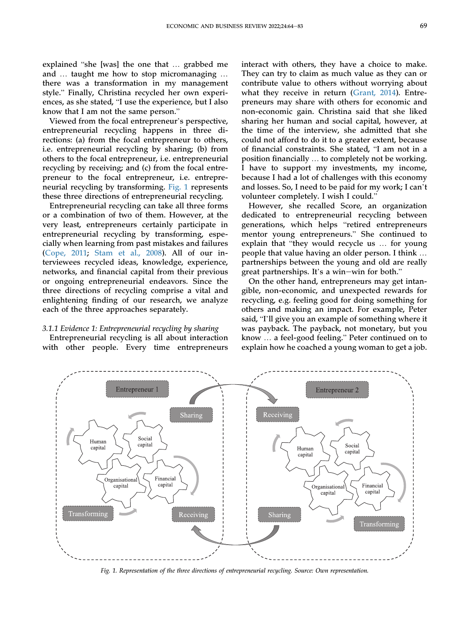explained "she [was] the one that … grabbed me and … taught me how to stop micromanaging … there was a transformation in my management style." Finally, Christina recycled her own experiences, as she stated, "I use the experience, but I also know that I am not the same person."

Viewed from the focal entrepreneur's perspective, entrepreneurial recycling happens in three directions: (a) from the focal entrepreneur to others, i.e. entrepreneurial recycling by sharing; (b) from others to the focal entrepreneur, i.e. entrepreneurial recycling by receiving; and (c) from the focal entrepreneur to the focal entrepreneur, i.e. entrepreneurial recycling by transforming. [Fig. 1](#page-6-0) represents these three directions of entrepreneurial recycling.

Entrepreneurial recycling can take all three forms or a combination of two of them. However, at the very least, entrepreneurs certainly participate in entrepreneurial recycling by transforming, especially when learning from past mistakes and failures [\(Cope, 2011](#page-17-6); [Stam et al., 2008](#page-19-3)). All of our interviewees recycled ideas, knowledge, experience, networks, and financial capital from their previous or ongoing entrepreneurial endeavors. Since the three directions of recycling comprise a vital and enlightening finding of our research, we analyze each of the three approaches separately.

#### 3.1.1 Evidence 1: Entrepreneurial recycling by sharing

Entrepreneurial recycling is all about interaction with other people. Every time entrepreneurs interact with others, they have a choice to make. They can try to claim as much value as they can or contribute value to others without worrying about what they receive in return ([Grant, 2014\)](#page-18-16). Entrepreneurs may share with others for economic and non-economic gain. Christina said that she liked sharing her human and social capital, however, at the time of the interview, she admitted that she could not afford to do it to a greater extent, because of financial constraints. She stated, "I am not in a position financially … to completely not be working. I have to support my investments, my income, because I had a lot of challenges with this economy and losses. So, I need to be paid for my work; I can't volunteer completely. I wish I could."

However, she recalled Score, an organization dedicated to entrepreneurial recycling between generations, which helps "retired entrepreneurs mentor young entrepreneurs." She continued to explain that "they would recycle us … for young people that value having an older person. I think … partnerships between the young and old are really great partnerships. It's a win-win for both."

On the other hand, entrepreneurs may get intangible, non-economic, and unexpected rewards for recycling, e.g. feeling good for doing something for others and making an impact. For example, Peter said, "I'll give you an example of something where it was payback. The payback, not monetary, but you know … a feel-good feeling." Peter continued on to explain how he coached a young woman to get a job.

<span id="page-6-0"></span>

Fig. 1. Representation of the three directions of entrepreneurial recycling. Source: Own representation.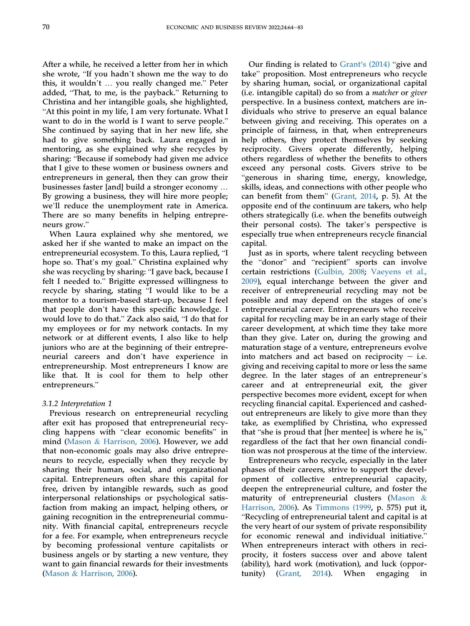After a while, he received a letter from her in which she wrote, "If you hadn't shown me the way to do this, it wouldn't … you really changed me." Peter added, "That, to me, is the payback." Returning to Christina and her intangible goals, she highlighted, "At this point in my life, I am very fortunate. What I want to do in the world is I want to serve people." She continued by saying that in her new life, she had to give something back. Laura engaged in mentoring, as she explained why she recycles by sharing: "Because if somebody had given me advice that I give to these women or business owners and entrepreneurs in general, then they can grow their businesses faster [and] build a stronger economy … By growing a business, they will hire more people; we'll reduce the unemployment rate in America. There are so many benefits in helping entrepreneurs grow."

When Laura explained why she mentored, we asked her if she wanted to make an impact on the entrepreneurial ecosystem. To this, Laura replied, "I hope so. That's my goal." Christina explained why she was recycling by sharing: "I gave back, because I felt I needed to." Brigitte expressed willingness to recycle by sharing, stating "I would like to be a mentor to a tourism-based start-up, because I feel that people don't have this specific knowledge. I would love to do that." Zack also said, "I do that for my employees or for my network contacts. In my network or at different events, I also like to help juniors who are at the beginning of their entrepreneurial careers and don't have experience in entrepreneurship. Most entrepreneurs I know are like that. It is cool for them to help other entrepreneurs."

#### 3.1.2 Interpretation 1

Previous research on entrepreneurial recycling after exit has proposed that entrepreneurial recycling happens with "clear economic benefits" in mind ([Mason](#page-18-2) & [Harrison, 2006\)](#page-18-2). However, we add that non-economic goals may also drive entrepreneurs to recycle, especially when they recycle by sharing their human, social, and organizational capital. Entrepreneurs often share this capital for free, driven by intangible rewards, such as good interpersonal relationships or psychological satisfaction from making an impact, helping others, or gaining recognition in the entrepreneurial community. With financial capital, entrepreneurs recycle for a fee. For example, when entrepreneurs recycle by becoming professional venture capitalists or business angels or by starting a new venture, they want to gain financial rewards for their investments [\(Mason](#page-18-2) & [Harrison, 2006](#page-18-2)).

Our finding is related to [Grant's \(2014\)](#page-18-16) "give and take" proposition. Most entrepreneurs who recycle by sharing human, social, or organizational capital (i.e. intangible capital) do so from a matcher or giver perspective. In a business context, matchers are individuals who strive to preserve an equal balance between giving and receiving. This operates on a principle of fairness, in that, when entrepreneurs help others, they protect themselves by seeking reciprocity. Givers operate differently, helping others regardless of whether the benefits to others exceed any personal costs. Givers strive to be "generous in sharing time, energy, knowledge, skills, ideas, and connections with other people who can benefit from them" ([Grant, 2014](#page-18-16), p. 5). At the opposite end of the continuum are takers, who help others strategically (i.e. when the benefits outweigh their personal costs). The taker's perspective is especially true when entrepreneurs recycle financial capital.

Just as in sports, where talent recycling between the "donor" and "recipient" sports can involve certain restrictions [\(Gulbin, 2008](#page-18-17); [Vaeyens et al.,](#page-19-8) [2009](#page-19-8)), equal interchange between the giver and receiver of entrepreneurial recycling may not be possible and may depend on the stages of one's entrepreneurial career. Entrepreneurs who receive capital for recycling may be in an early stage of their career development, at which time they take more than they give. Later on, during the growing and maturation stage of a venture, entrepreneurs evolve into matchers and act based on reciprocity  $-$  i.e. giving and receiving capital to more or less the same degree. In the later stages of an entrepreneur's career and at entrepreneurial exit, the giver perspective becomes more evident, except for when recycling financial capital. Experienced and cashedout entrepreneurs are likely to give more than they take, as exemplified by Christina, who expressed that "she is proud that [her mentee] is where he is," regardless of the fact that her own financial condition was not prosperous at the time of the interview.

Entrepreneurs who recycle, especially in the later phases of their careers, strive to support the development of collective entrepreneurial capacity, deepen the entrepreneurial culture, and foster the maturity of entrepreneurial clusters ([Mason](#page-18-2) & [Harrison, 2006](#page-18-2)). As [Timmons \(1999,](#page-19-9) p. 575) put it, "Recycling of entrepreneurial talent and capital is at the very heart of our system of private responsibility for economic renewal and individual initiative." When entrepreneurs interact with others in reciprocity, it fosters success over and above talent (ability), hard work (motivation), and luck (opportunity) [\(Grant, 2014](#page-18-16)). When engaging in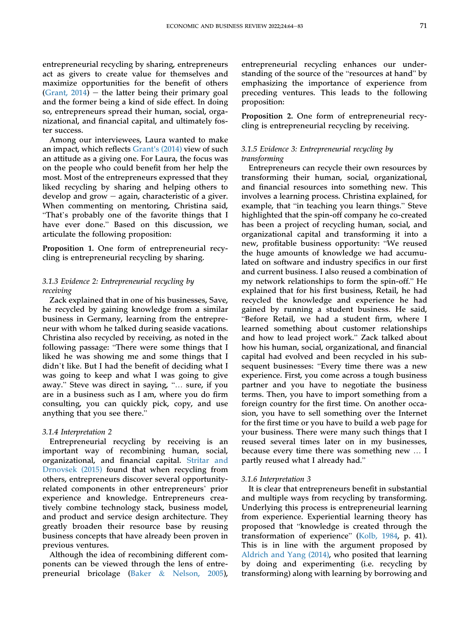entrepreneurial recycling by sharing, entrepreneurs act as givers to create value for themselves and maximize opportunities for the benefit of others (Grant,  $2014$ ) – the latter being their primary goal and the former being a kind of side effect. In doing so, entrepreneurs spread their human, social, organizational, and financial capital, and ultimately foster success.

Among our interviewees, Laura wanted to make an impact, which reflects [Grant's \(2014\)](#page-18-16) view of such an attitude as a giving one. For Laura, the focus was on the people who could benefit from her help the most. Most of the entrepreneurs expressed that they liked recycling by sharing and helping others to develop and grow  $-$  again, characteristic of a giver. When commenting on mentoring, Christina said, "That's probably one of the favorite things that I have ever done." Based on this discussion, we articulate the following proposition:

<span id="page-8-0"></span>Proposition 1. One form of entrepreneurial recycling is entrepreneurial recycling by sharing.

## 3.1.3 Evidence 2: Entrepreneurial recycling by receiving

Zack explained that in one of his businesses, Save, he recycled by gaining knowledge from a similar business in Germany, learning from the entrepreneur with whom he talked during seaside vacations. Christina also recycled by receiving, as noted in the following passage: "There were some things that I liked he was showing me and some things that I didn't like. But I had the benefit of deciding what I was going to keep and what I was going to give away." Steve was direct in saying, "… sure, if you are in a business such as I am, where you do firm consulting, you can quickly pick, copy, and use anything that you see there.'

#### 3.1.4 Interpretation 2

Entrepreneurial recycling by receiving is an important way of recombining human, social, organizational, and financial capital. [Stritar and](#page-19-10) [Drnov](#page-19-10)šek (2015) found that when recycling from others, entrepreneurs discover several opportunityrelated components in other entrepreneurs' prior experience and knowledge. Entrepreneurs creatively combine technology stack, business model, and product and service design architecture. They greatly broaden their resource base by reusing business concepts that have already been proven in previous ventures.

Although the idea of recombining different components can be viewed through the lens of entrepreneurial bricolage ([Baker](#page-17-9) & [Nelson, 2005](#page-17-9)), entrepreneurial recycling enhances our understanding of the source of the "resources at hand" by emphasizing the importance of experience from preceding ventures. This leads to the following proposition:

<span id="page-8-1"></span>Proposition 2. One form of entrepreneurial recycling is entrepreneurial recycling by receiving.

## 3.1.5 Evidence 3: Entrepreneurial recycling by transforming

Entrepreneurs can recycle their own resources by transforming their human, social, organizational, and financial resources into something new. This involves a learning process. Christina explained, for example, that "in teaching you learn things." Steve highlighted that the spin-off company he co-created has been a project of recycling human, social, and organizational capital and transforming it into a new, profitable business opportunity: "We reused the huge amounts of knowledge we had accumulated on software and industry specifics in our first and current business. I also reused a combination of my network relationships to form the spin-off." He explained that for his first business, Retail, he had recycled the knowledge and experience he had gained by running a student business. He said, "Before Retail, we had a student firm, where I learned something about customer relationships and how to lead project work." Zack talked about how his human, social, organizational, and financial capital had evolved and been recycled in his subsequent businesses: "Every time there was a new experience. First, you come across a tough business partner and you have to negotiate the business terms. Then, you have to import something from a foreign country for the first time. On another occasion, you have to sell something over the Internet for the first time or you have to build a web page for your business. There were many such things that I reused several times later on in my businesses, because every time there was something new … I partly reused what I already had."

#### 3.1.6 Interpretation 3

It is clear that entrepreneurs benefit in substantial and multiple ways from recycling by transforming. Underlying this process is entrepreneurial learning from experience. Experiential learning theory has proposed that "knowledge is created through the transformation of experience" ([Kolb, 1984](#page-18-18), p. 41). This is in line with the argument proposed by [Aldrich and Yang \(2014\)](#page-17-10), who posited that learning by doing and experimenting (i.e. recycling by transforming) along with learning by borrowing and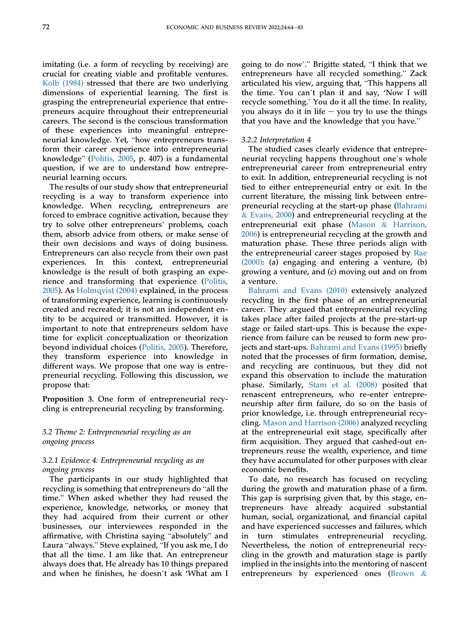imitating (i.e. a form of recycling by receiving) are crucial for creating viable and profitable ventures. [Kolb \(1984\)](#page-18-18) stressed that there are two underlying dimensions of experiential learning. The first is grasping the entrepreneurial experience that entrepreneurs acquire throughout their entrepreneurial careers. The second is the conscious transformation of these experiences into meaningful entrepreneurial knowledge. Yet, "how entrepreneurs transform their career experience into entrepreneurial knowledge" [\(Politis, 2005](#page-18-19), p. 407) is a fundamental question, if we are to understand how entrepreneurial learning occurs.

The results of our study show that entrepreneurial recycling is a way to transform experience into knowledge. When recycling, entrepreneurs are forced to embrace cognitive activation, because they try to solve other entrepreneurs' problems, coach them, absorb advice from others, or make sense of their own decisions and ways of doing business. Entrepreneurs can also recycle from their own past experiences. In this context, entrepreneurial knowledge is the result of both grasping an experience and transforming that experience ([Politis,](#page-18-19) [2005\)](#page-18-19). As [Holmqvist \(2004\)](#page-18-20) explained, in the process of transforming experience, learning is continuously created and recreated; it is not an independent entity to be acquired or transmitted. However, it is important to note that entrepreneurs seldom have time for explicit conceptualization or theorization beyond individual choices ([Politis, 2005](#page-18-19)). Therefore, they transform experience into knowledge in different ways. We propose that one way is entrepreneurial recycling. Following this discussion, we propose that:

<span id="page-9-0"></span>Proposition 3. One form of entrepreneurial recycling is entrepreneurial recycling by transforming.

## 3.2 Theme 2: Entrepreneurial recycling as an ongoing process

## 3.2.1 Evidence 4: Entrepreneurial recycling as an ongoing process

The participants in our study highlighted that recycling is something that entrepreneurs do "all the time." When asked whether they had reused the experience, knowledge, networks, or money that they had acquired from their current or other businesses, our interviewees responded in the affirmative, with Christina saying "absolutely" and Laura "always." Steve explained, "If you ask me, I do that all the time. I am like that. An entrepreneur always does that. He already has 10 things prepared and when he finishes, he doesn't ask 'What am I going to do now'." Brigitte stated, "I think that we entrepreneurs have all recycled something." Zack articulated his view, arguing that, "This happens all the time. You can't plan it and say, 'Now I will recycle something.' You do it all the time. In reality, you always do it in life  $-$  you try to use the things that you have and the knowledge that you have."

#### 3.2.2 Interpretation 4

The studied cases clearly evidence that entrepreneurial recycling happens throughout one's whole entrepreneurial career from entrepreneurial entry to exit. In addition, entrepreneurial recycling is not tied to either entrepreneurial entry or exit. In the current literature, the missing link between entrepreneurial recycling at the start-up phase ([Bahrami](#page-17-0) & [Evans, 2000\)](#page-17-0) and entrepreneurial recycling at the entrepreneurial exit phase [\(Mason](#page-18-2) & [Harrison,](#page-18-2) [2006](#page-18-2)) is entrepreneurial recycling at the growth and maturation phase. These three periods align with the entrepreneurial career stages proposed by [Rae](#page-18-21) [\(2000\):](#page-18-21) (a) engaging and entering a venture, (b) growing a venture, and (c) moving out and on from a venture.

[Bahrami and Evans \(2010\)](#page-17-1) extensively analyzed recycling in the first phase of an entrepreneurial career. They argued that entrepreneurial recycling takes place after failed projects at the pre-start-up stage or failed start-ups. This is because the experience from failure can be reused to form new projects and start-ups. [Bahrami and Evans \(1995\)](#page-17-2) briefly noted that the processes of firm formation, demise, and recycling are continuous, but they did not expand this observation to include the maturation phase. Similarly, [Stam et al. \(2008\)](#page-19-3) posited that renascent entrepreneurs, who re-enter entrepreneurship after firm failure, do so on the basis of prior knowledge, i.e. through entrepreneurial recycling. [Mason and Harrison \(2006\)](#page-18-2) analyzed recycling at the entrepreneurial exit stage, specifically after firm acquisition. They argued that cashed-out entrepreneurs reuse the wealth, experience, and time they have accumulated for other purposes with clear economic benefits.

To date, no research has focused on recycling during the growth and maturation phase of a firm. This gap is surprising given that, by this stage, entrepreneurs have already acquired substantial human, social, organizational, and financial capital and have experienced successes and failures, which in turn stimulates entrepreneurial recycling. Nevertheless, the notion of entrepreneurial recycling in the growth and maturation stage is partly implied in the insights into the mentoring of nascent entrepreneurs by experienced ones [\(Brown](#page-17-11) &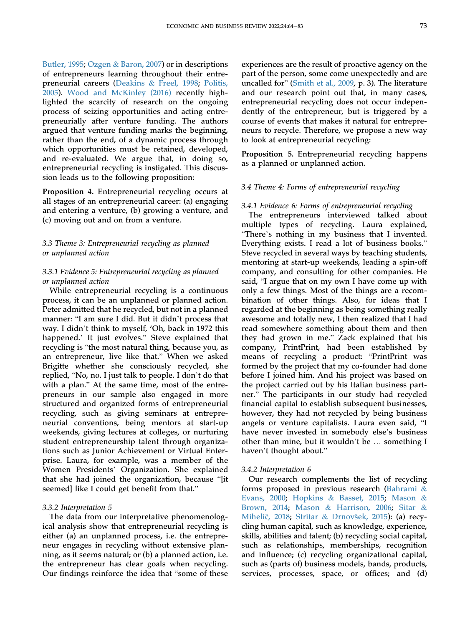[Butler, 1995](#page-17-11); [Ozgen](#page-18-22) & [Baron, 2007](#page-18-22)) or in descriptions of entrepreneurs learning throughout their entrepreneurial careers ([Deakins](#page-17-12) & [Freel, 1998](#page-17-12); [Politis,](#page-18-19) [2005\)](#page-18-19). [Wood and McKinley \(2016\)](#page-19-11) recently highlighted the scarcity of research on the ongoing process of seizing opportunities and acting entrepreneurially after venture funding. The authors argued that venture funding marks the beginning, rather than the end, of a dynamic process through which opportunities must be retained, developed, and re-evaluated. We argue that, in doing so, entrepreneurial recycling is instigated. This discussion leads us to the following proposition:

<span id="page-10-0"></span>Proposition 4. Entrepreneurial recycling occurs at all stages of an entrepreneurial career: (a) engaging and entering a venture, (b) growing a venture, and (c) moving out and on from a venture.

## 3.3 Theme 3: Entrepreneurial recycling as planned or unplanned action

## 3.3.1 Evidence 5: Entrepreneurial recycling as planned or unplanned action

While entrepreneurial recycling is a continuous process, it can be an unplanned or planned action. Peter admitted that he recycled, but not in a planned manner: "I am sure I did. But it didn't process that way. I didn't think to myself, 'Oh, back in 1972 this happened.' It just evolves." Steve explained that recycling is "the most natural thing, because you, as an entrepreneur, live like that." When we asked Brigitte whether she consciously recycled, she replied, "No, no. I just talk to people. I don't do that with a plan." At the same time, most of the entrepreneurs in our sample also engaged in more structured and organized forms of entrepreneurial recycling, such as giving seminars at entrepreneurial conventions, being mentors at start-up weekends, giving lectures at colleges, or nurturing student entrepreneurship talent through organizations such as Junior Achievement or Virtual Enterprise. Laura, for example, was a member of the Women Presidents' Organization. She explained that she had joined the organization, because "[it seemed] like I could get benefit from that."

## 3.3.2 Interpretation 5

The data from our interpretative phenomenological analysis show that entrepreneurial recycling is either (a) an unplanned process, i.e. the entrepreneur engages in recycling without extensive planning, as it seems natural; or (b) a planned action, i.e. the entrepreneur has clear goals when recycling. Our findings reinforce the idea that "some of these

experiences are the result of proactive agency on the part of the person, some come unexpectedly and are uncalled for" [\(Smith et al., 2009,](#page-18-13) p. 3). The literature and our research point out that, in many cases, entrepreneurial recycling does not occur independently of the entrepreneur, but is triggered by a course of events that makes it natural for entrepreneurs to recycle. Therefore, we propose a new way to look at entrepreneurial recycling:

<span id="page-10-1"></span>Proposition 5. Entrepreneurial recycling happens as a planned or unplanned action.

#### 3.4 Theme 4: Forms of entrepreneurial recycling

#### 3.4.1 Evidence 6: Forms of entrepreneurial recycling

The entrepreneurs interviewed talked about multiple types of recycling. Laura explained, "There's nothing in my business that I invented. Everything exists. I read a lot of business books." Steve recycled in several ways by teaching students, mentoring at start-up weekends, leading a spin-off company, and consulting for other companies. He said, "I argue that on my own I have come up with only a few things. Most of the things are a recombination of other things. Also, for ideas that I regarded at the beginning as being something really awesome and totally new, I then realized that I had read somewhere something about them and then they had grown in me." Zack explained that his company, PrintPrint, had been established by means of recycling a product: "PrintPrint was formed by the project that my co-founder had done before I joined him. And his project was based on the project carried out by his Italian business partner." The participants in our study had recycled financial capital to establish subsequent businesses, however, they had not recycled by being business angels or venture capitalists. Laura even said, "I have never invested in somebody else's business other than mine, but it wouldn't be … something I haven't thought about."

#### 3.4.2 Interpretation 6

Our research complements the list of recycling forms proposed in previous research [\(Bahrami](#page-17-0) & [Evans, 2000](#page-17-0); [Hopkins](#page-18-23) & [Basset, 2015;](#page-18-23) [Mason](#page-18-1) & [Brown, 2014](#page-18-1); [Mason](#page-18-2) & [Harrison, 2006](#page-18-2); [Sitar](#page-18-24) & [Miheli](#page-18-24)č, 2018; [Stritar](#page-19-10) & [Drnov](#page-19-10)š[ek, 2015\)](#page-19-10): (a) recycling human capital, such as knowledge, experience, skills, abilities and talent; (b) recycling social capital, such as relationships, memberships, recognition and influence; (c) recycling organizational capital, such as (parts of) business models, bands, products, services, processes, space, or offices; and (d)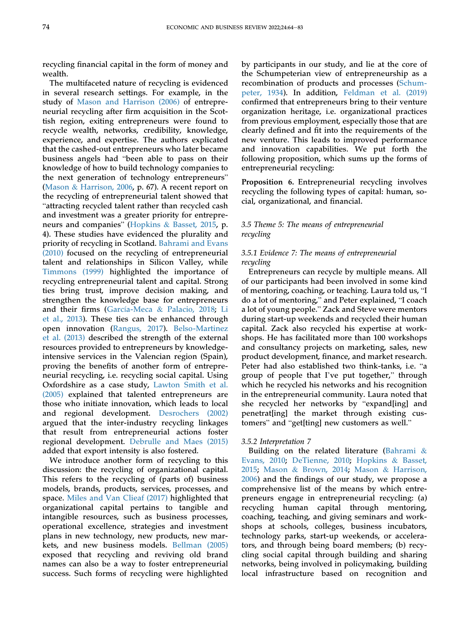recycling financial capital in the form of money and wealth.

The multifaceted nature of recycling is evidenced in several research settings. For example, in the study of [Mason and Harrison \(2006\)](#page-18-2) of entrepreneurial recycling after firm acquisition in the Scottish region, exiting entrepreneurs were found to recycle wealth, networks, credibility, knowledge, experience, and expertise. The authors explicated that the cashed-out entrepreneurs who later became business angels had "been able to pass on their knowledge of how to build technology companies to the next generation of technology entrepreneurs" [\(Mason](#page-18-2) & [Harrison, 2006](#page-18-2), p. 67). A recent report on the recycling of entrepreneurial talent showed that "attracting recycled talent rather than recycled cash and investment was a greater priority for entrepreneurs and companies" ([Hopkins](#page-18-23) & [Basset, 2015](#page-18-23), p. 4). These studies have evidenced the plurality and priority of recycling in Scotland. [Bahrami and Evans](#page-17-1) [\(2010\)](#page-17-1) focused on the recycling of entrepreneurial talent and relationships in Silicon Valley, while [Timmons \(1999\)](#page-19-9) highlighted the importance of recycling entrepreneurial talent and capital. Strong ties bring trust, improve decision making, and strengthen the knowledge base for entrepreneurs and their firms (Garcí[a-Meca](#page-18-25) & [Palacio, 2018](#page-18-25); [Li](#page-18-26) [et al., 2013\)](#page-18-26). These ties can be enhanced through open innovation [\(Rangus, 2017\)](#page-18-27). [Belso-Martinez](#page-17-13) [et al. \(2013\)](#page-17-13) described the strength of the external resources provided to entrepreneurs by knowledgeintensive services in the Valencian region (Spain), proving the benefits of another form of entrepreneurial recycling, i.e. recycling social capital. Using Oxfordshire as a case study, [Lawton Smith et al.](#page-18-28) [\(2005\)](#page-18-28) explained that talented entrepreneurs are those who initiate innovation, which leads to local and regional development. [Desrochers \(2002\)](#page-17-14) argued that the inter-industry recycling linkages that result from entrepreneurial actions foster regional development. [Debrulle and Maes \(2015\)](#page-17-15) added that export intensity is also fostered.

We introduce another form of recycling to this discussion: the recycling of organizational capital. This refers to the recycling of (parts of) business models, brands, products, services, processes, and space. [Miles and Van Clieaf \(2017\)](#page-18-29) highlighted that organizational capital pertains to tangible and intangible resources, such as business processes, operational excellence, strategies and investment plans in new technology, new products, new markets, and new business models. [Bellman \(2005\)](#page-17-16) exposed that recycling and reviving old brand names can also be a way to foster entrepreneurial success. Such forms of recycling were highlighted

by participants in our study, and lie at the core of the Schumpeterian view of entrepreneurship as a recombination of products and processes [\(Schum](#page-18-30)[peter, 1934](#page-18-30)). In addition, [Feldman et al. \(2019\)](#page-18-31) confirmed that entrepreneurs bring to their venture organization heritage, i.e. organizational practices from previous employment, especially those that are clearly defined and fit into the requirements of the new venture. This leads to improved performance and innovation capabilities. We put forth the following proposition, which sums up the forms of entrepreneurial recycling:

<span id="page-11-0"></span>Proposition 6. Entrepreneurial recycling involves recycling the following types of capital: human, social, organizational, and financial.

## 3.5 Theme 5: The means of entrepreneurial recycling

## 3.5.1 Evidence 7: The means of entrepreneurial recycling

Entrepreneurs can recycle by multiple means. All of our participants had been involved in some kind of mentoring, coaching, or teaching. Laura told us, "I do a lot of mentoring," and Peter explained, "I coach a lot of young people." Zack and Steve were mentors during start-up weekends and recycled their human capital. Zack also recycled his expertise at workshops. He has facilitated more than 100 workshops and consultancy projects on marketing, sales, new product development, finance, and market research. Peter had also established two think-tanks, i.e. "a group of people that I've put together," through which he recycled his networks and his recognition in the entrepreneurial community. Laura noted that she recycled her networks by "expand[ing] and penetrat[ing] the market through existing customers" and "get[ting] new customers as well."

#### 3.5.2 Interpretation 7

Building on the related literature ([Bahrami](#page-17-1)  $\&$ [Evans, 2010;](#page-17-1) [DeTienne, 2010](#page-17-4); [Hopkins](#page-18-23) & [Basset,](#page-18-23) [2015](#page-18-23); [Mason](#page-18-1) & [Brown, 2014](#page-18-1); [Mason](#page-18-2) & [Harrison,](#page-18-2) [2006](#page-18-2)) and the findings of our study, we propose a comprehensive list of the means by which entrepreneurs engage in entrepreneurial recycling: (a) recycling human capital through mentoring, coaching, teaching, and giving seminars and workshops at schools, colleges, business incubators, technology parks, start-up weekends, or accelerators, and through being board members; (b) recycling social capital through building and sharing networks, being involved in policymaking, building local infrastructure based on recognition and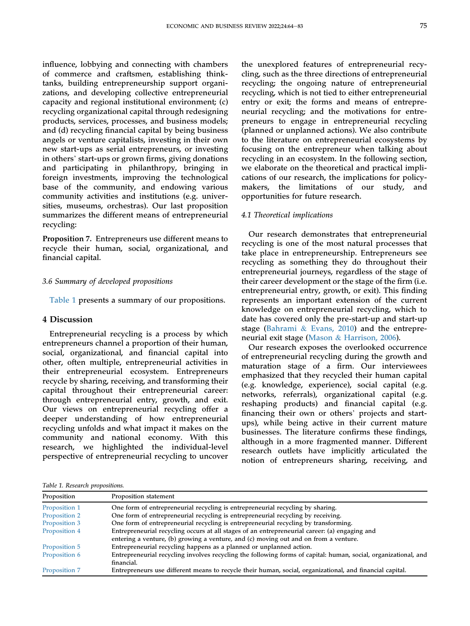influence, lobbying and connecting with chambers of commerce and craftsmen, establishing thinktanks, building entrepreneurship support organizations, and developing collective entrepreneurial capacity and regional institutional environment; (c) recycling organizational capital through redesigning products, services, processes, and business models; and (d) recycling financial capital by being business angels or venture capitalists, investing in their own new start-ups as serial entrepreneurs, or investing in others' start-ups or grown firms, giving donations and participating in philanthropy, bringing in foreign investments, improving the technological base of the community, and endowing various community activities and institutions (e.g. universities, museums, orchestras). Our last proposition summarizes the different means of entrepreneurial recycling:

<span id="page-12-1"></span>Proposition 7. Entrepreneurs use different means to recycle their human, social, organizational, and financial capital.

#### 3.6 Summary of developed propositions

[Table 1](#page-12-0) presents a summary of our propositions.

## 4 Discussion

Entrepreneurial recycling is a process by which entrepreneurs channel a proportion of their human, social, organizational, and financial capital into other, often multiple, entrepreneurial activities in their entrepreneurial ecosystem. Entrepreneurs recycle by sharing, receiving, and transforming their capital throughout their entrepreneurial career: through entrepreneurial entry, growth, and exit. Our views on entrepreneurial recycling offer a deeper understanding of how entrepreneurial recycling unfolds and what impact it makes on the community and national economy. With this research, we highlighted the individual-level perspective of entrepreneurial recycling to uncover

the unexplored features of entrepreneurial recycling, such as the three directions of entrepreneurial recycling; the ongoing nature of entrepreneurial recycling, which is not tied to either entrepreneurial entry or exit; the forms and means of entrepreneurial recycling; and the motivations for entrepreneurs to engage in entrepreneurial recycling (planned or unplanned actions). We also contribute to the literature on entrepreneurial ecosystems by focusing on the entrepreneur when talking about recycling in an ecosystem. In the following section, we elaborate on the theoretical and practical implications of our research, the implications for policymakers, the limitations of our study, and opportunities for future research.

#### 4.1 Theoretical implications

Our research demonstrates that entrepreneurial recycling is one of the most natural processes that take place in entrepreneurship. Entrepreneurs see recycling as something they do throughout their entrepreneurial journeys, regardless of the stage of their career development or the stage of the firm (i.e. entrepreneurial entry, growth, or exit). This finding represents an important extension of the current knowledge on entrepreneurial recycling, which to date has covered only the pre-start-up and start-up stage ([Bahrami](#page-17-1) & [Evans, 2010\)](#page-17-1) and the entrepreneurial exit stage ([Mason](#page-18-2) & [Harrison, 2006](#page-18-2)).

Our research exposes the overlooked occurrence of entrepreneurial recycling during the growth and maturation stage of a firm. Our interviewees emphasized that they recycled their human capital (e.g. knowledge, experience), social capital (e.g. networks, referrals), organizational capital (e.g. reshaping products) and financial capital (e.g. financing their own or others' projects and startups), while being active in their current mature businesses. The literature confirms these findings, although in a more fragmented manner. Different research outlets have implicitly articulated the notion of entrepreneurs sharing, receiving, and

<span id="page-12-0"></span>Table 1. Research propositions.

| Proposition   | Proposition statement                                                                                           |
|---------------|-----------------------------------------------------------------------------------------------------------------|
| Proposition 1 | One form of entrepreneurial recycling is entrepreneurial recycling by sharing.                                  |
| Proposition 2 | One form of entrepreneurial recycling is entrepreneurial recycling by receiving.                                |
| Proposition 3 | One form of entrepreneurial recycling is entrepreneurial recycling by transforming.                             |
| Proposition 4 | Entrepreneurial recycling occurs at all stages of an entrepreneurial career: (a) engaging and                   |
|               | entering a venture, (b) growing a venture, and (c) moving out and on from a venture.                            |
| Proposition 5 | Entrepreneurial recycling happens as a planned or unplanned action.                                             |
| Proposition 6 | Entrepreneurial recycling involves recycling the following forms of capital: human, social, organizational, and |
|               | financial.                                                                                                      |
| Proposition 7 | Entrepreneurs use different means to recycle their human, social, organizational, and financial capital.        |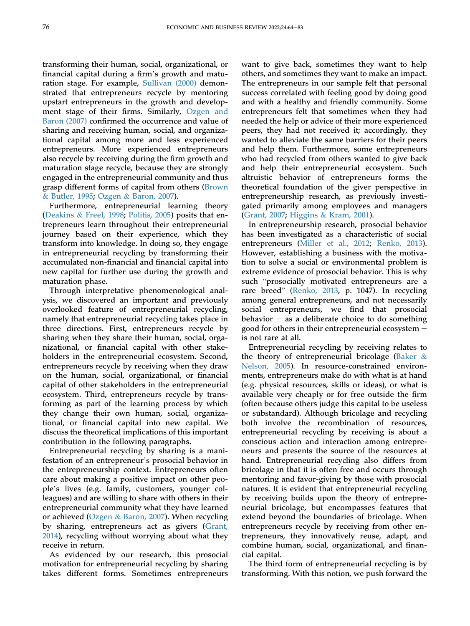transforming their human, social, organizational, or financial capital during a firm's growth and maturation stage. For example, [Sullivan \(2000\)](#page-19-2) demonstrated that entrepreneurs recycle by mentoring upstart entrepreneurs in the growth and development stage of their firms. Similarly, [Ozgen and](#page-18-22) [Baron \(2007\)](#page-18-22) confirmed the occurrence and value of sharing and receiving human, social, and organizational capital among more and less experienced entrepreneurs. More experienced entrepreneurs also recycle by receiving during the firm growth and maturation stage recycle, because they are strongly engaged in the entrepreneurial community and thus grasp different forms of capital from others [\(Brown](#page-17-11) & [Butler, 1995](#page-17-11); [Ozgen](#page-18-22) & [Baron, 2007\)](#page-18-22).

Furthermore, entrepreneurial learning theory [\(Deakins](#page-17-12) & [Freel, 1998](#page-17-12); [Politis, 2005\)](#page-18-19) posits that entrepreneurs learn throughout their entrepreneurial journey based on their experience, which they transform into knowledge. In doing so, they engage in entrepreneurial recycling by transforming their accumulated non-financial and financial capital into new capital for further use during the growth and maturation phase.

Through interpretative phenomenological analysis, we discovered an important and previously overlooked feature of entrepreneurial recycling, namely that entrepreneurial recycling takes place in three directions. First, entrepreneurs recycle by sharing when they share their human, social, organizational, or financial capital with other stakeholders in the entrepreneurial ecosystem. Second, entrepreneurs recycle by receiving when they draw on the human, social, organizational, or financial capital of other stakeholders in the entrepreneurial ecosystem. Third, entrepreneurs recycle by transforming as part of the learning process by which they change their own human, social, organizational, or financial capital into new capital. We discuss the theoretical implications of this important contribution in the following paragraphs.

Entrepreneurial recycling by sharing is a manifestation of an entrepreneur's prosocial behavior in the entrepreneurship context. Entrepreneurs often care about making a positive impact on other people's lives (e.g. family, customers, younger colleagues) and are willing to share with others in their entrepreneurial community what they have learned or achieved ([Ozgen](#page-18-22) & [Baron, 2007\)](#page-18-22). When recycling by sharing, entrepreneurs act as givers [\(Grant,](#page-18-16) [2014\)](#page-18-16), recycling without worrying about what they receive in return.

As evidenced by our research, this prosocial motivation for entrepreneurial recycling by sharing takes different forms. Sometimes entrepreneurs

want to give back, sometimes they want to help others, and sometimes they want to make an impact. The entrepreneurs in our sample felt that personal success correlated with feeling good by doing good and with a healthy and friendly community. Some entrepreneurs felt that sometimes when they had needed the help or advice of their more experienced peers, they had not received it; accordingly, they wanted to alleviate the same barriers for their peers and help them. Furthermore, some entrepreneurs who had recycled from others wanted to give back and help their entrepreneurial ecosystem. Such altruistic behavior of entrepreneurs forms the theoretical foundation of the giver perspective in entrepreneurship research, as previously investigated primarily among employees and managers [\(Grant, 2007;](#page-18-32) [Higgins](#page-18-33) & [Kram, 2001\)](#page-18-33).

In entrepreneurship research, prosocial behavior has been investigated as a characteristic of social entrepreneurs [\(Miller et al., 2012;](#page-18-34) [Renko, 2013\)](#page-18-35). However, establishing a business with the motivation to solve a social or environmental problem is extreme evidence of prosocial behavior. This is why such "prosocially motivated entrepreneurs are a rare breed" ([Renko, 2013,](#page-18-35) p. 1047). In recycling among general entrepreneurs, and not necessarily social entrepreneurs, we find that prosocial behavior  $-$  as a deliberate choice to do something good for others in their entrepreneurial ecosystem  $$ is not rare at all.

Entrepreneurial recycling by receiving relates to the theory of entrepreneurial bricolage [\(Baker](#page-17-9)  $\&$ [Nelson, 2005\)](#page-17-9). In resource-constrained environments, entrepreneurs make do with what is at hand (e.g. physical resources, skills or ideas), or what is available very cheaply or for free outside the firm (often because others judge this capital to be useless or substandard). Although bricolage and recycling both involve the recombination of resources, entrepreneurial recycling by receiving is about a conscious action and interaction among entrepreneurs and presents the source of the resources at hand. Entrepreneurial recycling also differs from bricolage in that it is often free and occurs through mentoring and favor-giving by those with prosocial natures. It is evident that entrepreneurial recycling by receiving builds upon the theory of entrepreneurial bricolage, but encompasses features that extend beyond the boundaries of bricolage. When entrepreneurs recycle by receiving from other entrepreneurs, they innovatively reuse, adapt, and combine human, social, organizational, and financial capital.

The third form of entrepreneurial recycling is by transforming. With this notion, we push forward the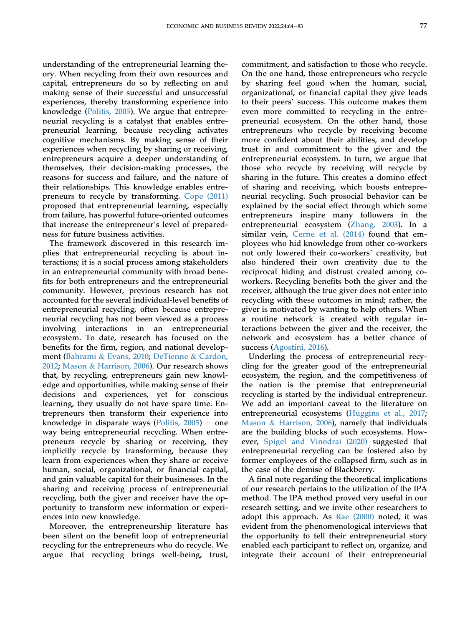understanding of the entrepreneurial learning theory. When recycling from their own resources and capital, entrepreneurs do so by reflecting on and making sense of their successful and unsuccessful experiences, thereby transforming experience into knowledge ([Politis, 2005](#page-18-19)). We argue that entrepreneurial recycling is a catalyst that enables entrepreneurial learning, because recycling activates cognitive mechanisms. By making sense of their experiences when recycling by sharing or receiving, entrepreneurs acquire a deeper understanding of themselves, their decision-making processes, the reasons for success and failure, and the nature of their relationships. This knowledge enables entrepreneurs to recycle by transforming. [Cope \(2011\)](#page-17-6) proposed that entrepreneurial learning, especially from failure, has powerful future-oriented outcomes that increase the entrepreneur's level of preparedness for future business activities.

The framework discovered in this research implies that entrepreneurial recycling is about interactions; it is a social process among stakeholders in an entrepreneurial community with broad benefits for both entrepreneurs and the entrepreneurial community. However, previous research has not accounted for the several individual-level benefits of entrepreneurial recycling, often because entrepreneurial recycling has not been viewed as a process involving interactions in an entrepreneurial ecosystem. To date, research has focused on the benefits for the firm, region, and national development ([Bahrami](#page-17-1) & [Evans, 2010;](#page-17-1) [DeTienne](#page-18-3) & [Cardon,](#page-18-3) [2012;](#page-18-3) [Mason](#page-18-2) & [Harrison, 2006\)](#page-18-2). Our research shows that, by recycling, entrepreneurs gain new knowledge and opportunities, while making sense of their decisions and experiences, yet for conscious learning, they usually do not have spare time. Entrepreneurs then transform their experience into knowledge in disparate ways (Politis,  $2005$ ) – one way being entrepreneurial recycling. When entrepreneurs recycle by sharing or receiving, they implicitly recycle by transforming, because they learn from experiences when they share or receive human, social, organizational, or financial capital, and gain valuable capital for their businesses. In the sharing and receiving process of entrepreneurial recycling, both the giver and receiver have the opportunity to transform new information or experiences into new knowledge.

Moreover, the entrepreneurship literature has been silent on the benefit loop of entrepreneurial recycling for the entrepreneurs who do recycle. We argue that recycling brings well-being, trust,

commitment, and satisfaction to those who recycle. On the one hand, those entrepreneurs who recycle by sharing feel good when the human, social, organizational, or financial capital they give leads to their peers' success. This outcome makes them even more committed to recycling in the entrepreneurial ecosystem. On the other hand, those entrepreneurs who recycle by receiving become more confident about their abilities, and develop trust in and commitment to the giver and the entrepreneurial ecosystem. In turn, we argue that those who recycle by receiving will recycle by sharing in the future. This creates a domino effect of sharing and receiving, which boosts entrepreneurial recycling. Such prosocial behavior can be explained by the social effect through which some entrepreneurs inspire many followers in the entrepreneurial ecosystem [\(Zhang, 2003\)](#page-19-12). In a similar vein, [Cerne et al. \(2014\)](#page-17-17) found that employees who hid knowledge from other co-workers not only lowered their co-workers' creativity, but also hindered their own creativity due to the reciprocal hiding and distrust created among coworkers. Recycling benefits both the giver and the receiver, although the true giver does not enter into recycling with these outcomes in mind; rather, the giver is motivated by wanting to help others. When a routine network is created with regular interactions between the giver and the receiver, the network and ecosystem has a better chance of success ([Agostini, 2016](#page-17-18)).

Underling the process of entrepreneurial recycling for the greater good of the entrepreneurial ecosystem, the region, and the competitiveness of the nation is the premise that entrepreneurial recycling is started by the individual entrepreneur. We add an important caveat to the literature on entrepreneurial ecosystems [\(Huggins et al., 2017;](#page-18-5) [Mason](#page-18-2) & [Harrison, 2006\)](#page-18-2), namely that individuals are the building blocks of such ecosystems. However, [Spigel and Vinodrai \(2020\)](#page-19-1) suggested that entrepreneurial recycling can be fostered also by former employees of the collapsed firm, such as in the case of the demise of Blackberry.

A final note regarding the theoretical implications of our research pertains to the utilization of the IPA method. The IPA method proved very useful in our research setting, and we invite other researchers to adopt this approach. As [Rae \(2000\)](#page-18-21) noted, it was evident from the phenomenological interviews that the opportunity to tell their entrepreneurial story enabled each participant to reflect on, organize, and integrate their account of their entrepreneurial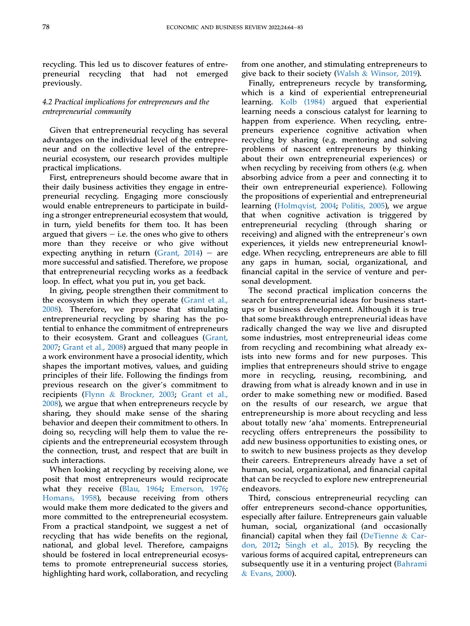recycling. This led us to discover features of entrepreneurial recycling that had not emerged previously.

## 4.2 Practical implications for entrepreneurs and the entrepreneurial community

Given that entrepreneurial recycling has several advantages on the individual level of the entrepreneur and on the collective level of the entrepreneurial ecosystem, our research provides multiple practical implications.

First, entrepreneurs should become aware that in their daily business activities they engage in entrepreneurial recycling. Engaging more consciously would enable entrepreneurs to participate in building a stronger entrepreneurial ecosystem that would, in turn, yield benefits for them too. It has been argued that givers  $-$  i.e. the ones who give to others more than they receive or who give without expecting anything in return (Grant,  $2014$ ) - are more successful and satisfied. Therefore, we propose that entrepreneurial recycling works as a feedback loop. In effect, what you put in, you get back.

In giving, people strengthen their commitment to the ecosystem in which they operate ([Grant et al.,](#page-18-36) [2008\)](#page-18-36). Therefore, we propose that stimulating entrepreneurial recycling by sharing has the potential to enhance the commitment of entrepreneurs to their ecosystem. Grant and colleagues [\(Grant,](#page-18-32) [2007;](#page-18-32) [Grant et al., 2008](#page-18-36)) argued that many people in a work environment have a prosocial identity, which shapes the important motives, values, and guiding principles of their life. Following the findings from previous research on the giver's commitment to recipients [\(Flynn](#page-18-37) & [Brockner, 2003](#page-18-37); [Grant et al.,](#page-18-36) [2008\)](#page-18-36), we argue that when entrepreneurs recycle by sharing, they should make sense of the sharing behavior and deepen their commitment to others. In doing so, recycling will help them to value the recipients and the entrepreneurial ecosystem through the connection, trust, and respect that are built in such interactions.

When looking at recycling by receiving alone, we posit that most entrepreneurs would reciprocate what they receive ([Blau, 1964;](#page-17-19) [Emerson, 1976;](#page-18-38) [Homans, 1958\)](#page-18-39), because receiving from others would make them more dedicated to the givers and more committed to the entrepreneurial ecosystem. From a practical standpoint, we suggest a net of recycling that has wide benefits on the regional, national, and global level. Therefore, campaigns should be fostered in local entrepreneurial ecosystems to promote entrepreneurial success stories, highlighting hard work, collaboration, and recycling

from one another, and stimulating entrepreneurs to give back to their society ([Walsh](#page-19-13) & [Winsor, 2019\)](#page-19-13).

Finally, entrepreneurs recycle by transforming, which is a kind of experiential entrepreneurial learning. [Kolb \(1984\)](#page-18-18) argued that experiential learning needs a conscious catalyst for learning to happen from experience. When recycling, entrepreneurs experience cognitive activation when recycling by sharing (e.g. mentoring and solving problems of nascent entrepreneurs by thinking about their own entrepreneurial experiences) or when recycling by receiving from others (e.g. when absorbing advice from a peer and connecting it to their own entrepreneurial experience). Following the propositions of experiential and entrepreneurial learning [\(Holmqvist, 2004](#page-18-20); [Politis, 2005\)](#page-18-19), we argue that when cognitive activation is triggered by entrepreneurial recycling (through sharing or receiving) and aligned with the entrepreneur's own experiences, it yields new entrepreneurial knowledge. When recycling, entrepreneurs are able to fill any gaps in human, social, organizational, and financial capital in the service of venture and personal development.

The second practical implication concerns the search for entrepreneurial ideas for business startups or business development. Although it is true that some breakthrough entrepreneurial ideas have radically changed the way we live and disrupted some industries, most entrepreneurial ideas come from recycling and recombining what already exists into new forms and for new purposes. This implies that entrepreneurs should strive to engage more in recycling, reusing, recombining, and drawing from what is already known and in use in order to make something new or modified. Based on the results of our research, we argue that entrepreneurship is more about recycling and less about totally new 'aha' moments. Entrepreneurial recycling offers entrepreneurs the possibility to add new business opportunities to existing ones, or to switch to new business projects as they develop their careers. Entrepreneurs already have a set of human, social, organizational, and financial capital that can be recycled to explore new entrepreneurial endeavors.

Third, conscious entrepreneurial recycling can offer entrepreneurs second-chance opportunities, especially after failure. Entrepreneurs gain valuable human, social, organizational (and occasionally financial) capital when they fail ([DeTienne](#page-18-3) & [Car](#page-18-3)[don, 2012;](#page-18-3) [Singh et al., 2015](#page-18-40)). By recycling the various forms of acquired capital, entrepreneurs can subsequently use it in a venturing project ([Bahrami](#page-17-0) & [Evans, 2000\)](#page-17-0).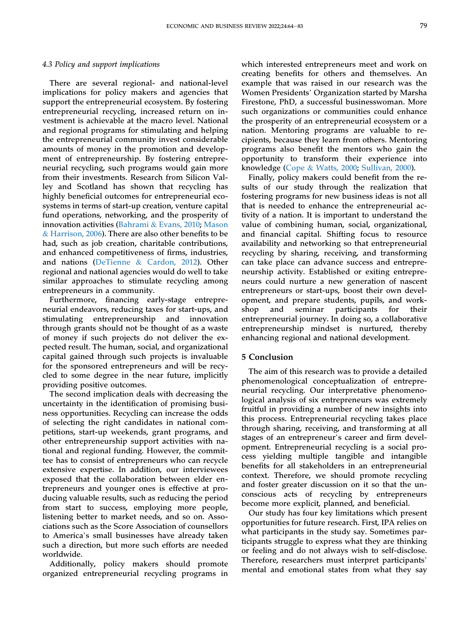#### 4.3 Policy and support implications

There are several regional- and national-level implications for policy makers and agencies that support the entrepreneurial ecosystem. By fostering entrepreneurial recycling, increased return on investment is achievable at the macro level. National and regional programs for stimulating and helping the entrepreneurial community invest considerable amounts of money in the promotion and development of entrepreneurship. By fostering entrepreneurial recycling, such programs would gain more from their investments. Research from Silicon Valley and Scotland has shown that recycling has highly beneficial outcomes for entrepreneurial ecosystems in terms of start-up creation, venture capital fund operations, networking, and the prosperity of innovation activities [\(Bahrami](#page-17-1) & [Evans, 2010](#page-17-1); [Mason](#page-18-2) & [Harrison, 2006](#page-18-2)). There are also other benefits to be had, such as job creation, charitable contributions, and enhanced competitiveness of firms, industries, and nations ([DeTienne](#page-18-3) & [Cardon, 2012](#page-18-3)). Other regional and national agencies would do well to take similar approaches to stimulate recycling among entrepreneurs in a community.

Furthermore, financing early-stage entrepreneurial endeavors, reducing taxes for start-ups, and stimulating entrepreneurship and innovation through grants should not be thought of as a waste of money if such projects do not deliver the expected result. The human, social, and organizational capital gained through such projects is invaluable for the sponsored entrepreneurs and will be recycled to some degree in the near future, implicitly providing positive outcomes.

The second implication deals with decreasing the uncertainty in the identification of promising business opportunities. Recycling can increase the odds of selecting the right candidates in national competitions, start-up weekends, grant programs, and other entrepreneurship support activities with national and regional funding. However, the committee has to consist of entrepreneurs who can recycle extensive expertise. In addition, our interviewees exposed that the collaboration between elder entrepreneurs and younger ones is effective at producing valuable results, such as reducing the period from start to success, employing more people, listening better to market needs, and so on. Associations such as the Score Association of counsellors to America's small businesses have already taken such a direction, but more such efforts are needed worldwide.

Additionally, policy makers should promote organized entrepreneurial recycling programs in

which interested entrepreneurs meet and work on creating benefits for others and themselves. An example that was raised in our research was the Women Presidents' Organization started by Marsha Firestone, PhD, a successful businesswoman. More such organizations or communities could enhance the prosperity of an entrepreneurial ecosystem or a nation. Mentoring programs are valuable to recipients, because they learn from others. Mentoring programs also benefit the mentors who gain the opportunity to transform their experience into knowledge [\(Cope](#page-17-20) & [Watts, 2000;](#page-17-20) [Sullivan, 2000](#page-19-2)).

Finally, policy makers could benefit from the results of our study through the realization that fostering programs for new business ideas is not all that is needed to enhance the entrepreneurial activity of a nation. It is important to understand the value of combining human, social, organizational, and financial capital. Shifting focus to resource availability and networking so that entrepreneurial recycling by sharing, receiving, and transforming can take place can advance success and entrepreneurship activity. Established or exiting entrepreneurs could nurture a new generation of nascent entrepreneurs or start-ups, boost their own development, and prepare students, pupils, and workshop and seminar participants for their entrepreneurial journey. In doing so, a collaborative entrepreneurship mindset is nurtured, thereby enhancing regional and national development.

## 5 Conclusion

The aim of this research was to provide a detailed phenomenological conceptualization of entrepreneurial recycling. Our interpretative phenomenological analysis of six entrepreneurs was extremely fruitful in providing a number of new insights into this process. Entrepreneurial recycling takes place through sharing, receiving, and transforming at all stages of an entrepreneur's career and firm development. Entrepreneurial recycling is a social process yielding multiple tangible and intangible benefits for all stakeholders in an entrepreneurial context. Therefore, we should promote recycling and foster greater discussion on it so that the unconscious acts of recycling by entrepreneurs become more explicit, planned, and beneficial.

Our study has four key limitations which present opportunities for future research. First, IPA relies on what participants in the study say. Sometimes participants struggle to express what they are thinking or feeling and do not always wish to self-disclose. Therefore, researchers must interpret participants' mental and emotional states from what they say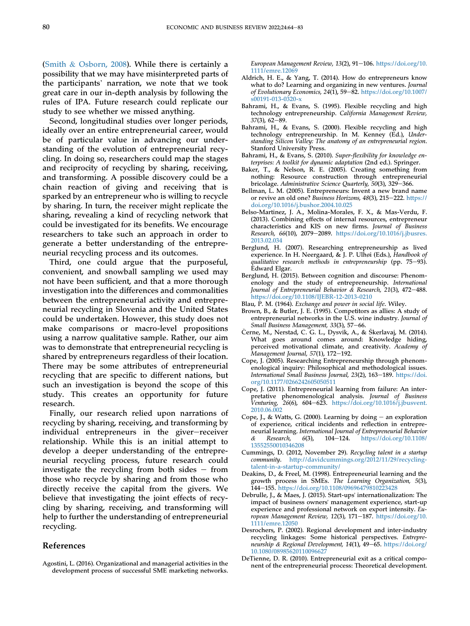[\(Smith](#page-19-5) & [Osborn, 2008\)](#page-19-5). While there is certainly a possibility that we may have misinterpreted parts of the participants' narration, we note that we took great care in our in-depth analysis by following the rules of IPA. Future research could replicate our study to see whether we missed anything.

Second, longitudinal studies over longer periods, ideally over an entire entrepreneurial career, would be of particular value in advancing our understanding of the evolution of entrepreneurial recycling. In doing so, researchers could map the stages and reciprocity of recycling by sharing, receiving, and transforming. A possible discovery could be a chain reaction of giving and receiving that is sparked by an entrepreneur who is willing to recycle by sharing. In turn, the receiver might replicate the sharing, revealing a kind of recycling network that could be investigated for its benefits. We encourage researchers to take such an approach in order to generate a better understanding of the entrepreneurial recycling process and its outcomes.

Third, one could argue that the purposeful, convenient, and snowball sampling we used may not have been sufficient, and that a more thorough investigation into the differences and commonalities between the entrepreneurial activity and entrepreneurial recycling in Slovenia and the United States could be undertaken. However, this study does not make comparisons or macro-level propositions using a narrow qualitative sample. Rather, our aim was to demonstrate that entrepreneurial recycling is shared by entrepreneurs regardless of their location. There may be some attributes of entrepreneurial recycling that are specific to different nations, but such an investigation is beyond the scope of this study. This creates an opportunity for future research.

Finally, our research relied upon narrations of recycling by sharing, receiving, and transforming by individual entrepreneurs in the giver-receiver relationship. While this is an initial attempt to develop a deeper understanding of the entrepreneurial recycling process, future research could investigate the recycling from both sides  $-$  from those who recycle by sharing and from those who directly receive the capital from the givers. We believe that investigating the joint effects of recycling by sharing, receiving, and transforming will help to further the understanding of entrepreneurial recycling.

#### References

European Management Review, 13(2), 91-106. [https://doi.org/10.](https://doi.org/10.1111/emre.12069) [1111/emre.12069](https://doi.org/10.1111/emre.12069)

- <span id="page-17-10"></span>Aldrich, H. E., & Yang, T. (2014). How do entrepreneurs know what to do? Learning and organizing in new ventures. Journal of Evolutionary Economics, 24(1), 59-82. [https://doi.org/10.1007/](https://doi.org/10.1007/s00191-013-0320-x) [s00191-013-0320-x](https://doi.org/10.1007/s00191-013-0320-x)
- <span id="page-17-2"></span>Bahrami, H., & Evans, S. (1995). Flexible recycling and high technology entrepreneurship. California Management Review,  $37(3)$ , 62-89.
- <span id="page-17-0"></span>Bahrami, H., & Evans, S. (2000). Flexible recycling and high technology entrepreneurship. In M. Kenney (Ed.), Understanding Silicon Valley: The anatomy of an entrepreneurial region. Stanford University Press.
- <span id="page-17-1"></span>Bahrami, H., & Evans, S. (2010). Super-flexibility for knowledge enterprises: A toolkit for dynamic adaptation (2nd ed.). Springer.
- <span id="page-17-9"></span>Baker, T., & Nelson, R. E. (2005). Creating something from nothing: Resource construction through entrepreneurial bricolage. Administrative Science Quarterly, 50(3), 329-366.
- <span id="page-17-16"></span>Bellman, L. M. (2005). Entrepreneurs: Invent a new brand name or revive an old one? Business Horizons, 48(3), 215-222. [https://](https://doi.org/10.1016/j.bushor.2004.10.025) [doi.org/10.1016/j.bushor.2004.10.025](https://doi.org/10.1016/j.bushor.2004.10.025)
- <span id="page-17-13"></span>Belso-Martinez, J. A., Molina-Morales, F. X., & Mas-Verdu, F. (2013). Combining effects of internal resources, entrepreneur characteristics and KIS on new firms. Journal of Business Research, 66(10), 2079-2089. [https://doi.org/10.1016/j.jbusres.](https://doi.org/10.1016/j.jbusres.2013.02.034) [2013.02.034](https://doi.org/10.1016/j.jbusres.2013.02.034)
- <span id="page-17-7"></span>Berglund, H. (2007). Researching entrepreneurship as lived experience. In H. Neergaard, & J. P. Ulhøi (Eds.), Handbook of qualitative research methods in entrepreneurship (pp.  $75-93$ ). Edward Elgar.
- <span id="page-17-5"></span>Berglund, H. (2015). Between cognition and discourse: Phenomenology and the study of entrepreneurship. International Journal of Entrepreneurial Behavior  $\dot{\&}$  Research, 21(3), 472–488. <https://doi.org/10.1108/IJEBR-12-2013-0210>
- <span id="page-17-19"></span>Blau, P. M. (1964). Exchange and power in social life. Wiley.
- <span id="page-17-11"></span>Brown, B., & Butler, J. E. (1995). Competitors as allies: A study of entrepreneurial networks in the U.S. wine industry. Journal of Small Business Management, 33(3), 57-66.
- <span id="page-17-17"></span>Černe, M., Nerstad, C. G. L., Dysvik, A., & Škerlavaj, M. (2014). What goes around comes around: Knowledge hiding, perceived motivational climate, and creativity. Academy of Management Journal, 57(1), 172-192.
- <span id="page-17-8"></span>Cope, J. (2005). Researching Entrepreneurship through phenomenological inquiry: Philosophical and methodological issues. International Small Business Journal, 23(2), 163-189. [https://doi.](https://doi.org/10.1177/0266242605050511) [org/10.1177/0266242605050511](https://doi.org/10.1177/0266242605050511)
- <span id="page-17-6"></span>Cope, J. (2011). Entrepreneurial learning from failure: An interpretative phenomenological analysis. Journal of Business Venturing, 26(6), 604-623. [https://doi.org/10.1016/j.jbusvent.](https://doi.org/10.1016/j.jbusvent.2010.06.002) [2010.06.002](https://doi.org/10.1016/j.jbusvent.2010.06.002)
- <span id="page-17-20"></span>Cope, J., & Watts, G. (2000). Learning by doing  $-$  an exploration of experience, critical incidents and reflection in entrepreneurial learning. International Journal of Entrepreneurial Behavior<br>& Research, 6(3), 104-124. https://doi.org/10.1108/ & Research,  $6(3)$ ,  $104-124$ . [https://doi.org/10.1108/](https://doi.org/10.1108/13552550010346208) [13552550010346208](https://doi.org/10.1108/13552550010346208)
- <span id="page-17-3"></span>Cummings, D. (2012, November 29). Recycling talent in a startup community. [http://davidcummings.org/2012/11/29/recycling](http://davidcummings.org/2012/11/29/recycling-talent-in-a-startup-community/)[talent-in-a-startup-community/](http://davidcummings.org/2012/11/29/recycling-talent-in-a-startup-community/)
- <span id="page-17-12"></span>Deakins, D., & Freel, M. (1998). Entrepreneurial learning and the growth process in SMEs. The Learning Organization, 5(3), 144-155. <https://doi.org/10.1108/09696479810223428>
- <span id="page-17-15"></span>Debrulle, J., & Maes, J. (2015). Start-ups' internationalization: The impact of business owners' management experience, start-up experience and professional network on export intensity. European Management Review, 12(3), 171-187. [https://doi.org/10.](https://doi.org/10.1111/emre.12050) [1111/emre.12050](https://doi.org/10.1111/emre.12050)
- <span id="page-17-14"></span>Desrochers, P. (2002). Regional development and inter-industry recycling linkages: Some historical perspectives. Entrepreneurship & Regional Development, 14(1), 49-65. [https://doi.org/](https://doi.org/10.1080/08985620110096627) [10.1080/08985620110096627](https://doi.org/10.1080/08985620110096627)
- <span id="page-17-4"></span>DeTienne, D. R. (2010). Entrepreneurial exit as a critical component of the entrepreneurial process: Theoretical development.

<span id="page-17-18"></span>Agostini, L. (2016). Organizational and managerial activities in the development process of successful SME marketing networks.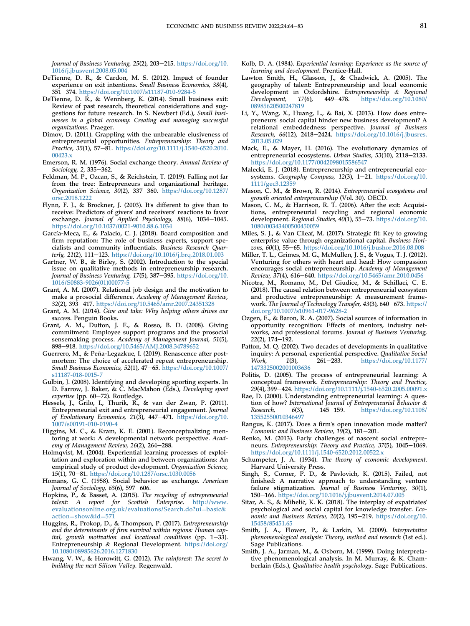Journal of Business Venturing, 25(2), 203-215. [https://doi.org/10.](https://doi.org/10.1016/j.jbusvent.2008.05.004) [1016/j.jbusvent.2008.05.004](https://doi.org/10.1016/j.jbusvent.2008.05.004)

- <span id="page-18-3"></span>DeTienne, D. R., & Cardon, M. S. (2012). Impact of founder experience on exit intentions. Small Business Economics, 38(4), 351e374. <https://doi.org/10.1007/s11187-010-9284-5>
- <span id="page-18-4"></span>DeTienne, D. R., & Wennberg, K. (2014). Small business exit: Review of past research, theoretical considerations and suggestions for future research. In S. Newbert (Ed.), Small businesses in a global economy: Creating and managing successful organizations. Praeger.
- <span id="page-18-10"></span>Dimov, D. (2011). Grappling with the unbearable elusiveness of entrepreneurial opportunities. Entrepreneurship: Theory and Practice, 35(1), 57-81. [https://doi.org/10.1111/j.1540-6520.2010.](https://doi.org/10.1111/j.1540-6520.2010.00423.x) [00423.x](https://doi.org/10.1111/j.1540-6520.2010.00423.x)
- <span id="page-18-38"></span>Emerson, R. M. (1976). Social exchange theory. Annual Review of Sociology, 2, 335–362.
- <span id="page-18-31"></span>Feldman, M. P., Ozcan, S., & Reichstein, T. (2019). Falling not far from the tree: Entrepreneurs and organizational heritage. Organization Science, 30(2), 337-360. [https://doi.org/10.1287/](https://doi.org/10.1287/orsc.2018.1222) [orsc.2018.1222](https://doi.org/10.1287/orsc.2018.1222)
- <span id="page-18-37"></span>Flynn, F. J., & Brockner, J. (2003). It's different to give than to receive: Predictors of givers' and receivers' reactions to favor exchange. Journal of Applied Psychology,  $88(6)$ ,  $1034-1045$ . <https://doi.org/10.1037/0021-9010.88.6.1034>
- <span id="page-18-25"></span>García-Meca, E., & Palacio, C. J. (2018). Board composition and firm reputation: The role of business experts, support specialists and community influentials. Business Research Quarterly, 21(2), 111-123. <https://doi.org/10.1016/j.brq.2018.01.003>
- <span id="page-18-12"></span>Gartner, W. B., & Birley, S. (2002). Introduction to the special issue on qualitative methods in entrepreneurship research. Journal of Business Venturing, 17(5), 387-395. [https://doi.org/10.](https://doi.org/10.1016/S0883-9026(01)00077-5) [1016/S0883-9026\(01\)00077-5](https://doi.org/10.1016/S0883-9026(01)00077-5)
- <span id="page-18-32"></span>Grant, A. M. (2007). Relational job design and the motivation to make a prosocial difference. Academy of Management Review, 32(2), 393-417. <https://doi.org/10.5465/amr.2007.24351328>
- <span id="page-18-16"></span>Grant, A. M. (2014). Give and take: Why helping others drives our success. Penguin Books.
- <span id="page-18-36"></span>Grant, A. M., Dutton, J. E., & Rosso, B. D. (2008). Giving commitment: Employee support programs and the prosocial sensemaking process. Academy of Management Journal, 51(5), 898-918. <https://doi.org/10.5465/AMJ.2008.34789652>
- <span id="page-18-9"></span>Guerrero, M., & Peña-Legazkue, I. (2019). Renascence after postmortem: The choice of accelerated repeat entrepreneurship. Small Business Economics, 52(1), 47-65. [https://doi.org/10.1007/](https://doi.org/10.1007/s11187-018-0015-7) [s11187-018-0015-7](https://doi.org/10.1007/s11187-018-0015-7)
- <span id="page-18-17"></span>Gulbin, J. (2008). Identifying and developing sporting experts. In D. Farrow, J. Baker, & C. MacMahon (Eds.), Developing sport expertise (pp. 60-72). Routledge.
- <span id="page-18-7"></span>Hessels, J., Grilo, I., Thurik, R., & van der Zwan, P. (2011). Entrepreneurial exit and entrepreneurial engagement. Journal of Evolutionary Economics, 21(3), 447-471. [https://doi.org/10.](https://doi.org/10.1007/s00191-010-0190-4) [1007/s00191-010-0190-4](https://doi.org/10.1007/s00191-010-0190-4)
- <span id="page-18-33"></span>Higgins, M. C., & Kram, K. E. (2001). Reconceptualizing mentoring at work: A developmental network perspective. Academy of Management Review,  $26(2)$ ,  $264-288$ .
- <span id="page-18-20"></span>Holmqvist, M. (2004). Experiential learning processes of exploitation and exploration within and between organizations: An empirical study of product development. Organization Science,  $15(1)$ , 70-81. <https://doi.org/10.1287/orsc.1030.0056>
- <span id="page-18-39"></span>Homans, G. C. (1958). Social behavior as exchange. American Journal of Sociology,  $63(6)$ , 597-606.
- <span id="page-18-23"></span>Hopkins, P., & Basset, A. (2015). The recycling of entrepreneurial talent: A report for Scottish Enterprise. [http://www.](http://www.evaluationsonline.org.uk/evaluations/Search.do?ui=basic&action=show&id=571) [evaluationsonline.org.uk/evaluations/Search.do?ui](http://www.evaluationsonline.org.uk/evaluations/Search.do?ui=basic&action=show&id=571)=[basic](http://www.evaluationsonline.org.uk/evaluations/Search.do?ui=basic&action=show&id=571)& [action](http://www.evaluationsonline.org.uk/evaluations/Search.do?ui=basic&action=show&id=571)=[show](http://www.evaluationsonline.org.uk/evaluations/Search.do?ui=basic&action=show&id=571)&[id](http://www.evaluationsonline.org.uk/evaluations/Search.do?ui=basic&action=show&id=571)=[571](http://www.evaluationsonline.org.uk/evaluations/Search.do?ui=basic&action=show&id=571)
- <span id="page-18-5"></span>Huggins, R., Prokop, D., & Thompson, P. (2017). Entrepreneurship and the determinants of firm survival within regions: Human capital, growth motivation and locational conditions (pp.  $1-33$ ). Entrepreneurship & Regional Development. [https://doi.org/](https://doi.org/10.1080/08985626.2016.1271830) [10.1080/08985626.2016.1271830](https://doi.org/10.1080/08985626.2016.1271830)
- <span id="page-18-11"></span>Hwang, V. W., & Horowitt, G. (2012). The rainforest: The secret to building the next Silicon Valley. Regenwald.
- <span id="page-18-18"></span>Kolb, D. A. (1984). Experiential learning: Experience as the source of learning and development. Prentice-Hall.
- <span id="page-18-28"></span>Lawton Smith, H., Glasson, J., & Chadwick, A. (2005). The geography of talent: Entrepreneurship and local economic development in Oxfordshire. Entrepreneurship & Regional Development, 17(6), 449-478. https://doi.org/10.1080/ Development, 17(6), 449-478. [https://doi.org/10.1080/](https://doi.org/10.1080/08985620500247819) [08985620500247819](https://doi.org/10.1080/08985620500247819)
- <span id="page-18-26"></span>Li, Y., Wang, X., Huang, L., & Bai, X. (2013). How does entrepreneurs' social capital hinder new business development? A relational embeddedness perspective. Journal of Business Research, 66(12), 2418-2424. [https://doi.org/10.1016/j.jbusres.](https://doi.org/10.1016/j.jbusres.2013.05.029) [2013.05.029](https://doi.org/10.1016/j.jbusres.2013.05.029)
- <span id="page-18-0"></span>Mack, E., & Mayer, H. (2016). The evolutionary dynamics of entrepreneurial ecosystems. Urban Studies, 53(10), 2118-2133. <https://doi.org/10.1177/0042098015586547>
- <span id="page-18-8"></span>Malecki, E. J. (2018). Entrepreneurship and entrepreneurial ecosystems. Geography Compass, 12(3), 1-21. [https://doi.org/10.](https://doi.org/10.1111/gec3.12359) [1111/gec3.12359](https://doi.org/10.1111/gec3.12359)
- <span id="page-18-1"></span>Mason, C. M., & Brown, R. (2014). Entrepreneurial ecosystems and growth oriented entrepreneurship (Vol. 30). OECD.
- <span id="page-18-2"></span>Mason, C. M., & Harrison, R. T. (2006). After the exit: Acquisitions, entrepreneurial recycling and regional economic development. Regional Studies,  $40(1)$ , 55-73. [https://doi.org/10.](https://doi.org/10.1080/00343400500450059) [1080/00343400500450059](https://doi.org/10.1080/00343400500450059)
- <span id="page-18-29"></span>Miles, S. J., & Van Clieaf, M. (2017). Strategic fit: Key to growing enterprise value through organizational capital. Business Horizons, 60(1), 55-65. <https://doi.org/10.1016/j.bushor.2016.08.008>
- <span id="page-18-34"></span>Miller, T. L., Grimes, M. G., McMullen, J. S., & Vogus, T. J. (2012). Venturing for others with heart and head: How compassion encourages social entrepreneurship. Academy of Management Review, 37(4), 616-640. <https://doi.org/10.5465/amr.2010.0456>
- <span id="page-18-6"></span>Nicotra, M., Romano, M., Del Giudice, M., & Schillaci, C. E. (2018). The causal relation between entrepreneurial ecosystem and productive entrepreneurship: A measurement framework. The Journal of Technology Transfer, 43(3), 640-673. [https://](https://doi.org/10.1007/s10961-017-9628-2) [doi.org/10.1007/s10961-017-9628-2](https://doi.org/10.1007/s10961-017-9628-2)
- <span id="page-18-22"></span>Ozgen, E., & Baron, R. A. (2007). Social sources of information in opportunity recognition: Effects of mentors, industry networks, and professional forums. Journal of Business Venturing,  $22(2)$ ,  $174-192$ .
- <span id="page-18-15"></span>Patton, M. Q. (2002). Two decades of developments in qualitative inquiry: A personal, experiential perspective. Qualitative Social Work, 1(3), 261–283. [https://doi.org/10.1177/](https://doi.org/10.1177/1473325002001003636) [1473325002001003636](https://doi.org/10.1177/1473325002001003636)
- <span id="page-18-19"></span>Politis, D. (2005). The process of entrepreneurial learning: A conceptual framework. Entrepreneurship: Theory and Practice, 29(4), 399-424. <https://doi.org/10.1111/j.1540-6520.2005.00091.x>
- <span id="page-18-21"></span>Rae, D. (2000). Understanding entrepreneurial learning: A question of how? International Journal of Entrepreneurial Behavior & Research, 6(3), 145–159. [https://doi.org/10.1108/](https://doi.org/10.1108/13552550010346497) [13552550010346497](https://doi.org/10.1108/13552550010346497)
- <span id="page-18-27"></span>Rangus, K. (2017). Does a firm's open innovation mode matter? Economic and Business Review,  $19(2)$ ,  $181-201$ .
- <span id="page-18-35"></span>Renko, M. (2013). Early challenges of nascent social entrepreneurs. Entrepreneurship: Theory and Practice, 37(5), 1045-1069. <https://doi.org/10.1111/j.1540-6520.2012.00522.x>
- <span id="page-18-30"></span>Schumpeter, J. A. (1934). The theory of economic development. Harvard University Press.
- <span id="page-18-40"></span>Singh, S., Corner, P. D., & Pavlovich, K. (2015). Failed, not finished: A narrative approach to understanding venture failure stigmatization. Journal of Business Venturing, 30(1), 150-166. <https://doi.org/10.1016/j.jbusvent.2014.07.005>
- <span id="page-18-24"></span>Sitar, A. S., & Mihelič, K. K. (2018). The interplay of expatriates psychological and social capital for knowledge transfer. Economic and Business Review,  $20(2)$ , 195-219. [https://doi.org/10.](https://doi.org/10.15458/85451.65) [15458/85451.65](https://doi.org/10.15458/85451.65)
- <span id="page-18-13"></span>Smith, J. A., Flower, P., & Larkin, M. (2009). Interpretative phenomenological analysis: Theory, method and research (1st ed.). Sage Publications.
- <span id="page-18-14"></span>Smith, J. A., Jarman, M., & Osborn, M. (1999). Doing interpretative phenomenological analysis. In M. Murray, & K. Chamberlain (Eds.), Qualitative health psychology. Sage Publications.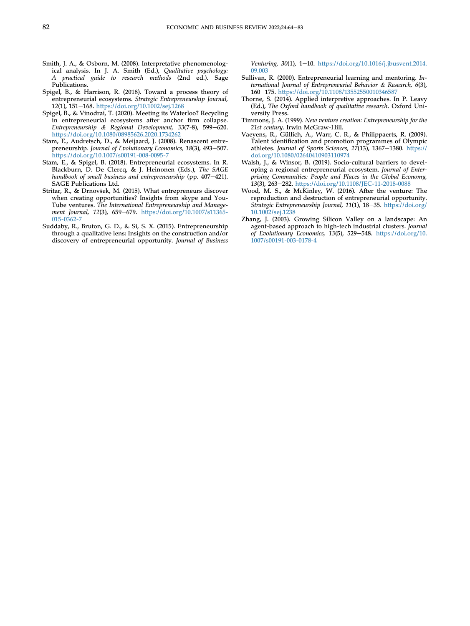- <span id="page-19-5"></span>Smith, J. A., & Osborn, M. (2008). Interpretative phenomenological analysis. In J. A. Smith (Ed.), Qualitative psychology: A practical guide to research methods (2nd ed.). Sage Publications.
- <span id="page-19-0"></span>Spigel, B., & Harrison, R. (2018). Toward a process theory of entrepreneurial ecosystems. Strategic Entrepreneurship Journal, 12(1), 151-168. <https://doi.org/10.1002/sej.1268>
- <span id="page-19-1"></span>Spigel, B., & Vinodrai, T. (2020). Meeting its Waterloo? Recycling in entrepreneurial ecosystems after anchor firm collapse. Entrepreneurship & Regional Development,  $33(7-8)$ ,  $599-620$ . <https://doi.org/10.1080/08985626.2020.1734262>
- <span id="page-19-3"></span>Stam, E., Audretsch, D., & Meijaard, J. (2008). Renascent entrepreneurship. Journal of Evolutionary Economics, 18(3), 493-507. <https://doi.org/10.1007/s00191-008-0095-7>
- <span id="page-19-4"></span>Stam, E., & Spigel, B. (2018). Entrepreneurial ecosystems. In R. Blackburn, D. De Clercq, & J. Heinonen (Eds.), The SAGE handbook of small business and entrepreneurship (pp.  $407-421$ ). SAGE Publications Ltd.
- <span id="page-19-10"></span>Stritar, R., & Drnovšek, M. (2015). What entrepreneurs discover when creating opportunities? Insights from skype and You-Tube ventures. The International Entrepreneurship and Management Journal, 12(3), 659-679. [https://doi.org/10.1007/s11365-](https://doi.org/10.1007/s11365-015-0362-7) [015-0362-7](https://doi.org/10.1007/s11365-015-0362-7)
- <span id="page-19-6"></span>Suddaby, R., Bruton, G. D., & Si, S. X. (2015). Entrepreneurship through a qualitative lens: Insights on the construction and/or discovery of entrepreneurial opportunity. Journal of Business

Venturing, 30(1), 1-10. [https://doi.org/10.1016/j.jbusvent.2014.](https://doi.org/10.1016/j.jbusvent.2014.09.003) [09.003](https://doi.org/10.1016/j.jbusvent.2014.09.003)

- <span id="page-19-2"></span>Sullivan, R. (2000). Entrepreneurial learning and mentoring. International Journal of Entrepreneurial Behavior & Research, 6(3), 160e175. <https://doi.org/10.1108/13552550010346587>
- <span id="page-19-7"></span>Thorne, S. (2014). Applied interpretive approaches. In P. Leavy (Ed.), The Oxford handbook of qualitative research. Oxford University Press.
- <span id="page-19-9"></span>Timmons, J. A. (1999). New venture creation: Entrepreneurship for the 21st century. Irwin McGraw-Hill.
- <span id="page-19-8"></span>Vaeyens, R., Güllich, A., Warr, C. R., & Philippaerts, R. (2009). Talent identification and promotion programmes of Olympic athletes. Journal of Sports Sciences,  $27(13)$ ,  $1367-1380$ . [https://](https://doi.org/10.1080/02640410903110974) [doi.org/10.1080/02640410903110974](https://doi.org/10.1080/02640410903110974)
- <span id="page-19-13"></span>Walsh, J., & Winsor, B. (2019). Socio-cultural barriers to developing a regional entrepreneurial ecosystem. Journal of Enterprising Communities: People and Places in the Global Economy, 13(3), 263-282. <https://doi.org/10.1108/JEC-11-2018-0088>
- <span id="page-19-11"></span>Wood, M. S., & McKinley, W. (2016). After the venture: The reproduction and destruction of entrepreneurial opportunity. Strategic Entrepreneurship Journal, 11(1), 18–35. [https://doi.org/](https://doi.org/10.1002/sej.1238) [10.1002/sej.1238](https://doi.org/10.1002/sej.1238)
- <span id="page-19-12"></span>Zhang, J. (2003). Growing Silicon Valley on a landscape: An agent-based approach to high-tech industrial clusters. Journal of Evolutionary Economics, 13(5), 529-548. [https://doi.org/10.](https://doi.org/10.1007/s00191-003-0178-4) [1007/s00191-003-0178-4](https://doi.org/10.1007/s00191-003-0178-4)